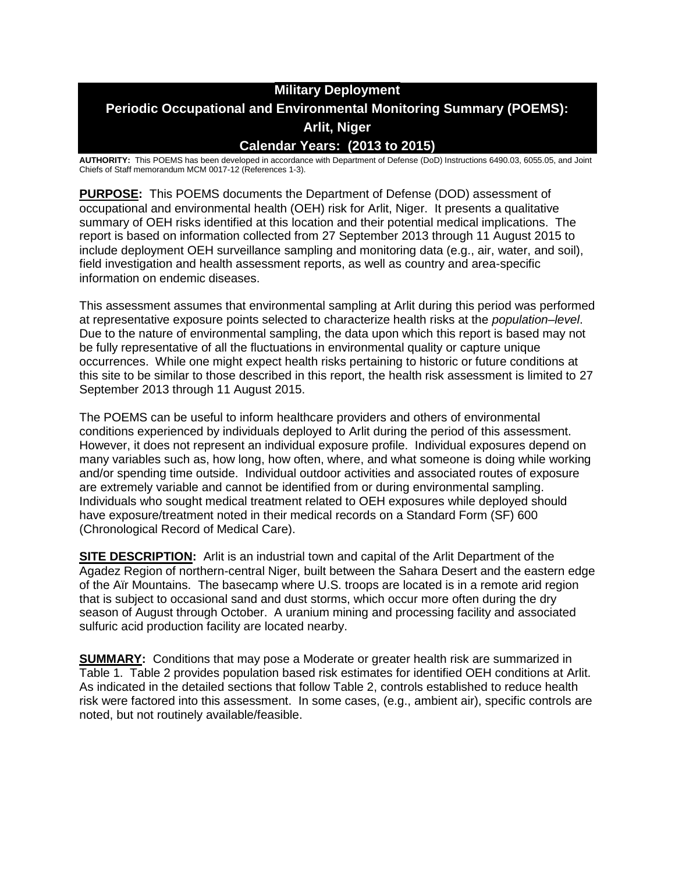# **Military Deployment Periodic Occupational and Environmental Monitoring Summary (POEMS): Arlit, Niger Calendar Years: (2013 to 2015)**

**AUTHORITY:** This POEMS has been developed in accordance with Department of Defense (DoD) Instructions 6490.03, 6055.05, and Joint Chiefs of Staff memorandum MCM 0017-12 (References 1-3).

**PURPOSE:** This POEMS documents the Department of Defense (DOD) assessment of occupational and environmental health (OEH) risk for Arlit, Niger. It presents a qualitative summary of OEH risks identified at this location and their potential medical implications. The report is based on information collected from 27 September 2013 through 11 August 2015 to include deployment OEH surveillance sampling and monitoring data (e.g., air, water, and soil), field investigation and health assessment reports, as well as country and area-specific information on endemic diseases.

This assessment assumes that environmental sampling at Arlit during this period was performed at representative exposure points selected to characterize health risks at the *population–level*. Due to the nature of environmental sampling, the data upon which this report is based may not be fully representative of all the fluctuations in environmental quality or capture unique occurrences. While one might expect health risks pertaining to historic or future conditions at this site to be similar to those described in this report, the health risk assessment is limited to 27 September 2013 through 11 August 2015.

The POEMS can be useful to inform healthcare providers and others of environmental conditions experienced by individuals deployed to Arlit during the period of this assessment. However, it does not represent an individual exposure profile. Individual exposures depend on many variables such as, how long, how often, where, and what someone is doing while working and/or spending time outside. Individual outdoor activities and associated routes of exposure are extremely variable and cannot be identified from or during environmental sampling. Individuals who sought medical treatment related to OEH exposures while deployed should have exposure/treatment noted in their medical records on a Standard Form (SF) 600 (Chronological Record of Medical Care).

**SITE DESCRIPTION:** Arlit is an industrial town and capital of the Arlit Department of the Agadez Region of northern-central Niger, built between the Sahara Desert and the eastern edge of the Aïr Mountains. The basecamp where U.S. troops are located is in a remote arid region that is subject to occasional sand and dust storms, which occur more often during the dry season of August through October. A uranium mining and processing facility and associated sulfuric acid production facility are located nearby.

**SUMMARY:** Conditions that may pose a Moderate or greater health risk are summarized in Table 1. Table 2 provides population based risk estimates for identified OEH conditions at Arlit. As indicated in the detailed sections that follow Table 2, controls established to reduce health risk were factored into this assessment. In some cases, (e.g., ambient air), specific controls are noted, but not routinely available/feasible.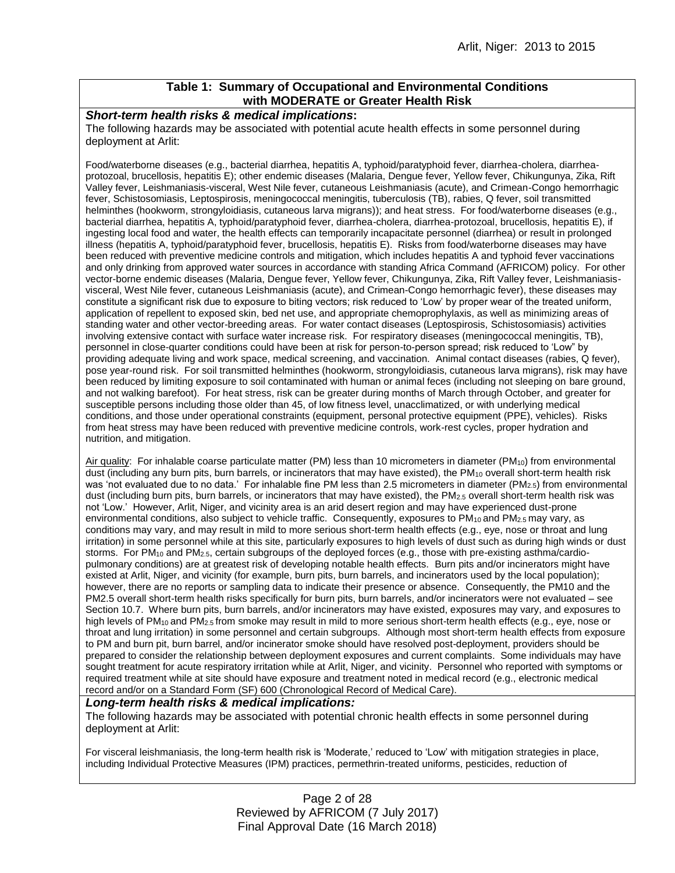### **Table 1: Summary of Occupational and Environmental Conditions with MODERATE or Greater Health Risk**

### *Short-term health risks & medical implications***:**

The following hazards may be associated with potential acute health effects in some personnel during deployment at Arlit:

Food/waterborne diseases (e.g., bacterial diarrhea, hepatitis A, typhoid/paratyphoid fever, diarrhea-cholera, diarrheaprotozoal, brucellosis, hepatitis E); other endemic diseases (Malaria, Dengue fever, Yellow fever, Chikungunya, Zika, Rift Valley fever, Leishmaniasis-visceral, West Nile fever, cutaneous Leishmaniasis (acute), and Crimean-Congo hemorrhagic fever, Schistosomiasis, Leptospirosis, meningococcal meningitis, tuberculosis (TB), rabies, Q fever, soil transmitted helminthes (hookworm, strongyloidiasis, cutaneous larva migrans)); and heat stress. For food/waterborne diseases (e.g., bacterial diarrhea, hepatitis A, typhoid/paratyphoid fever, diarrhea-cholera, diarrhea-protozoal, brucellosis, hepatitis E), if ingesting local food and water, the health effects can temporarily incapacitate personnel (diarrhea) or result in prolonged illness (hepatitis A, typhoid/paratyphoid fever, brucellosis, hepatitis E). Risks from food/waterborne diseases may have been reduced with preventive medicine controls and mitigation, which includes hepatitis A and typhoid fever vaccinations and only drinking from approved water sources in accordance with standing Africa Command (AFRICOM) policy. For other vector-borne endemic diseases (Malaria, Dengue fever, Yellow fever, Chikungunya, Zika, Rift Valley fever, Leishmaniasisvisceral, West Nile fever, cutaneous Leishmaniasis (acute), and Crimean-Congo hemorrhagic fever), these diseases may constitute a significant risk due to exposure to biting vectors; risk reduced to 'Low' by proper wear of the treated uniform, application of repellent to exposed skin, bed net use, and appropriate chemoprophylaxis, as well as minimizing areas of standing water and other vector-breeding areas. For water contact diseases (Leptospirosis, Schistosomiasis) activities involving extensive contact with surface water increase risk. For respiratory diseases (meningococcal meningitis, TB), personnel in close-quarter conditions could have been at risk for person-to-person spread; risk reduced to 'Low" by providing adequate living and work space, medical screening, and vaccination. Animal contact diseases (rabies, Q fever), pose year-round risk. For soil transmitted helminthes (hookworm, strongyloidiasis, cutaneous larva migrans), risk may have been reduced by limiting exposure to soil contaminated with human or animal feces (including not sleeping on bare ground, and not walking barefoot). For heat stress, risk can be greater during months of March through October, and greater for susceptible persons including those older than 45, of low fitness level, unacclimatized, or with underlying medical conditions, and those under operational constraints (equipment, personal protective equipment (PPE), vehicles). Risks from heat stress may have been reduced with preventive medicine controls, work-rest cycles, proper hydration and nutrition, and mitigation.

Air quality: For inhalable coarse particulate matter (PM) less than 10 micrometers in diameter (PM<sub>10</sub>) from environmental dust (including any burn pits, burn barrels, or incinerators that may have existed), the PM<sub>10</sub> overall short-term health risk was 'not evaluated due to no data.' For inhalable fine PM less than 2.5 micrometers in diameter (PM<sub>2.5</sub>) from environmental dust (including burn pits, burn barrels, or incinerators that may have existed), the PM<sub>2.5</sub> overall short-term health risk was not 'Low.' However, Arlit, Niger, and vicinity area is an arid desert region and may have experienced dust-prone environmental conditions, also subject to vehicle traffic. Consequently, exposures to  $PM_{10}$  and  $PM_{2.5}$  may vary, as conditions may vary, and may result in mild to more serious short-term health effects (e.g., eye, nose or throat and lung irritation) in some personnel while at this site, particularly exposures to high levels of dust such as during high winds or dust storms. For PM<sub>10</sub> and PM<sub>2.5</sub>, certain subgroups of the deployed forces (e.g., those with pre-existing asthma/cardiopulmonary conditions) are at greatest risk of developing notable health effects. Burn pits and/or incinerators might have existed at Arlit, Niger, and vicinity (for example, burn pits, burn barrels, and incinerators used by the local population); however, there are no reports or sampling data to indicate their presence or absence. Consequently, the PM10 and the PM2.5 overall short-term health risks specifically for burn pits, burn barrels, and/or incinerators were not evaluated – see Section 10.7. Where burn pits, burn barrels, and/or incinerators may have existed, exposures may vary, and exposures to high levels of PM<sub>10</sub> and PM<sub>2.5</sub> from smoke may result in mild to more serious short-term health effects (e.g., eye, nose or throat and lung irritation) in some personnel and certain subgroups. Although most short-term health effects from exposure to PM and burn pit, burn barrel, and/or incinerator smoke should have resolved post-deployment, providers should be prepared to consider the relationship between deployment exposures and current complaints. Some individuals may have sought treatment for acute respiratory irritation while at Arlit, Niger, and vicinity. Personnel who reported with symptoms or required treatment while at site should have exposure and treatment noted in medical record (e.g., electronic medical record and/or on a Standard Form (SF) 600 (Chronological Record of Medical Care).

### *Long-term health risks & medical implications:*

The following hazards may be associated with potential chronic health effects in some personnel during deployment at Arlit:

For visceral leishmaniasis, the long-term health risk is 'Moderate,' reduced to 'Low' with mitigation strategies in place, including Individual Protective Measures (IPM) practices, permethrin-treated uniforms, pesticides, reduction of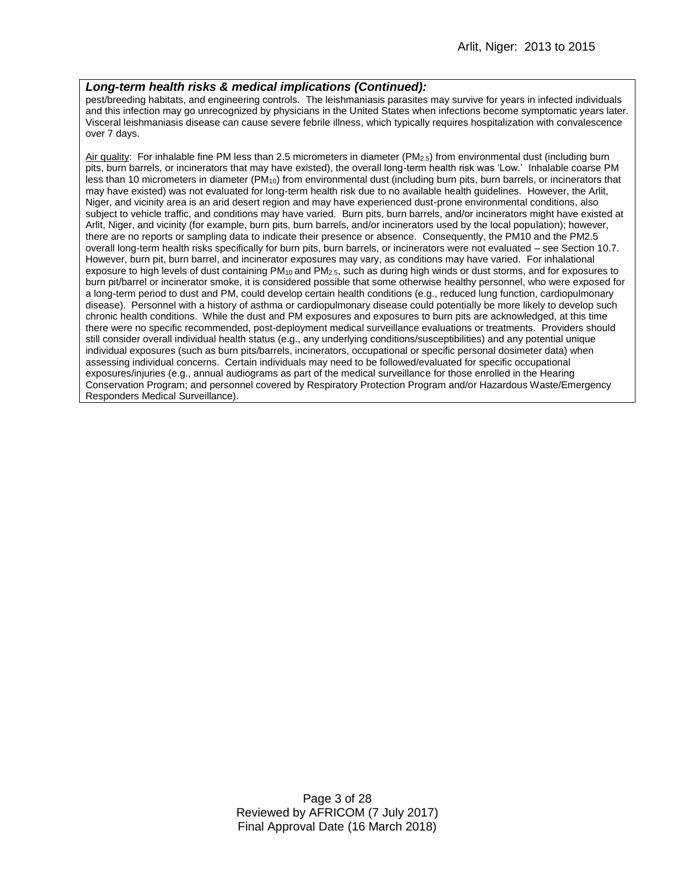### *Long-term health risks & medical implications (Continued):*

pest/breeding habitats, and engineering controls. The leishmaniasis parasites may survive for years in infected individuals and this infection may go unrecognized by physicians in the United States when infections become symptomatic years later. Visceral leishmaniasis disease can cause severe febrile illness, which typically requires hospitalization with convalescence over 7 days.

Air quality: For inhalable fine PM less than 2.5 micrometers in diameter (PM<sub>2.5</sub>) from environmental dust (including burn pits, burn barrels, or incinerators that may have existed), the overall long-term health risk was 'Low.' Inhalable coarse PM less than 10 micrometers in diameter (PM10) from environmental dust (including burn pits, burn barrels, or incinerators that may have existed) was not evaluated for long-term health risk due to no available health guidelines. However, the Arlit, Niger, and vicinity area is an arid desert region and may have experienced dust-prone environmental conditions, also subject to vehicle traffic, and conditions may have varied. Burn pits, burn barrels, and/or incinerators might have existed at Arlit, Niger, and vicinity (for example, burn pits, burn barrels, and/or incinerators used by the local population); however, there are no reports or sampling data to indicate their presence or absence. Consequently, the PM10 and the PM2.5 overall long-term health risks specifically for burn pits, burn barrels, or incinerators were not evaluated – see Section 10.7. However, burn pit, burn barrel, and incinerator exposures may vary, as conditions may have varied. For inhalational exposure to high levels of dust containing  $PM_{10}$  and  $PM_{2.5}$ , such as during high winds or dust storms, and for exposures to burn pit/barrel or incinerator smoke, it is considered possible that some otherwise healthy personnel, who were exposed for a long-term period to dust and PM, could develop certain health conditions (e.g., reduced lung function, cardiopulmonary disease). Personnel with a history of asthma or cardiopulmonary disease could potentially be more likely to develop such chronic health conditions. While the dust and PM exposures and exposures to burn pits are acknowledged, at this time there were no specific recommended, post-deployment medical surveillance evaluations or treatments. Providers should still consider overall individual health status (e.g., any underlying conditions/susceptibilities) and any potential unique individual exposures (such as burn pits/barrels, incinerators, occupational or specific personal dosimeter data) when assessing individual concerns. Certain individuals may need to be followed/evaluated for specific occupational exposures/injuries (e.g., annual audiograms as part of the medical surveillance for those enrolled in the Hearing Conservation Program; and personnel covered by Respiratory Protection Program and/or Hazardous Waste/Emergency Responders Medical Surveillance).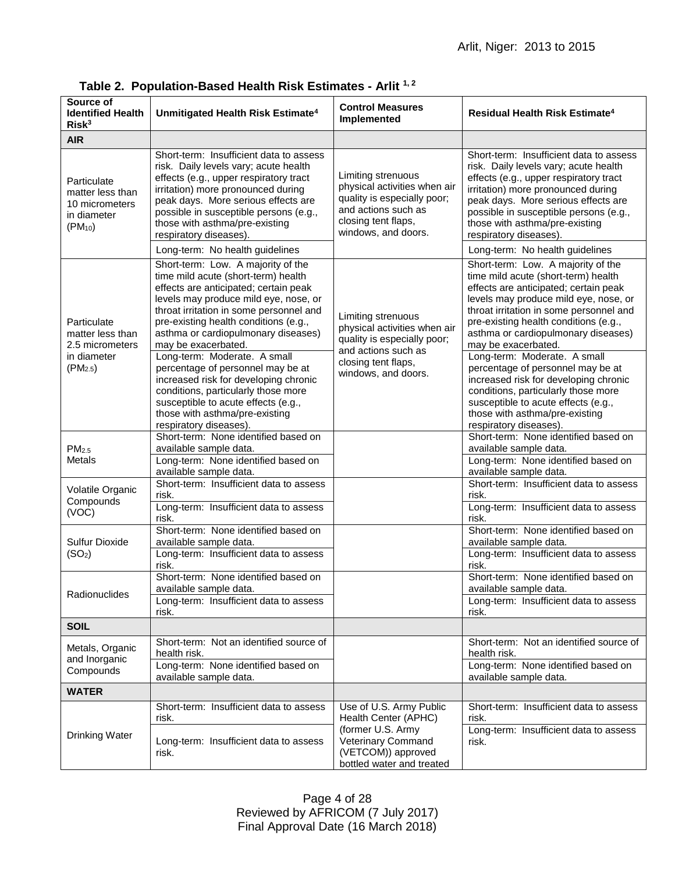| Source of<br><b>Identified Health</b><br>Risk <sup>3</sup>                        | Unmitigated Health Risk Estimate <sup>4</sup>                                                                                                                                                                                                                                                                                                 | <b>Control Measures</b><br>Implemented                                                                                                                 | Residual Health Risk Estimate <sup>4</sup>                                                                                                                                                                                                                                                                                                    |
|-----------------------------------------------------------------------------------|-----------------------------------------------------------------------------------------------------------------------------------------------------------------------------------------------------------------------------------------------------------------------------------------------------------------------------------------------|--------------------------------------------------------------------------------------------------------------------------------------------------------|-----------------------------------------------------------------------------------------------------------------------------------------------------------------------------------------------------------------------------------------------------------------------------------------------------------------------------------------------|
| <b>AIR</b>                                                                        |                                                                                                                                                                                                                                                                                                                                               |                                                                                                                                                        |                                                                                                                                                                                                                                                                                                                                               |
| Particulate<br>matter less than<br>10 micrometers<br>in diameter<br>$(PM_{10})$   | Short-term: Insufficient data to assess<br>risk. Daily levels vary; acute health<br>effects (e.g., upper respiratory tract<br>irritation) more pronounced during<br>peak days. More serious effects are<br>possible in susceptible persons (e.g.,<br>those with asthma/pre-existing<br>respiratory diseases).                                 | Limiting strenuous<br>physical activities when air<br>quality is especially poor;<br>and actions such as<br>closing tent flaps,<br>windows, and doors. | Short-term: Insufficient data to assess<br>risk. Daily levels vary; acute health<br>effects (e.g., upper respiratory tract<br>irritation) more pronounced during<br>peak days. More serious effects are<br>possible in susceptible persons (e.g.,<br>those with asthma/pre-existing<br>respiratory diseases).                                 |
|                                                                                   | Long-term: No health guidelines                                                                                                                                                                                                                                                                                                               |                                                                                                                                                        | Long-term: No health guidelines                                                                                                                                                                                                                                                                                                               |
| Particulate<br>matter less than<br>2.5 micrometers<br>in diameter<br>$(PM_{2.5})$ | Short-term: Low. A majority of the<br>time mild acute (short-term) health<br>effects are anticipated; certain peak<br>levels may produce mild eye, nose, or<br>throat irritation in some personnel and<br>pre-existing health conditions (e.g.,<br>asthma or cardiopulmonary diseases)<br>may be exacerbated.<br>Long-term: Moderate. A small | Limiting strenuous<br>physical activities when air<br>quality is especially poor;<br>and actions such as<br>closing tent flaps,<br>windows, and doors. | Short-term: Low. A majority of the<br>time mild acute (short-term) health<br>effects are anticipated; certain peak<br>levels may produce mild eye, nose, or<br>throat irritation in some personnel and<br>pre-existing health conditions (e.g.,<br>asthma or cardiopulmonary diseases)<br>may be exacerbated.<br>Long-term: Moderate. A small |
|                                                                                   | percentage of personnel may be at<br>increased risk for developing chronic<br>conditions, particularly those more<br>susceptible to acute effects (e.g.,<br>those with asthma/pre-existing<br>respiratory diseases).                                                                                                                          |                                                                                                                                                        | percentage of personnel may be at<br>increased risk for developing chronic<br>conditions, particularly those more<br>susceptible to acute effects (e.g.,<br>those with asthma/pre-existing<br>respiratory diseases).                                                                                                                          |
| PM <sub>2.5</sub><br><b>Metals</b>                                                | Short-term: None identified based on<br>available sample data.<br>Long-term: None identified based on                                                                                                                                                                                                                                         |                                                                                                                                                        | Short-term: None identified based on<br>available sample data.<br>Long-term: None identified based on                                                                                                                                                                                                                                         |
| Volatile Organic<br>Compounds<br>(VOC)                                            | available sample data.<br>Short-term: Insufficient data to assess<br>risk.<br>Long-term: Insufficient data to assess<br>risk.                                                                                                                                                                                                                 |                                                                                                                                                        | available sample data.<br>Short-term: Insufficient data to assess<br>risk.<br>Long-term: Insufficient data to assess<br>risk.                                                                                                                                                                                                                 |
| Sulfur Dioxide<br>(SO <sub>2</sub> )                                              | Short-term: None identified based on<br>available sample data.<br>Long-term: Insufficient data to assess<br>risk.                                                                                                                                                                                                                             |                                                                                                                                                        | Short-term: None identified based on<br>available sample data.<br>Long-term: Insufficient data to assess<br>risk.                                                                                                                                                                                                                             |
| Radionuclides                                                                     | Short-term: None identified based on<br>available sample data.<br>Long-term: Insufficient data to assess<br>risk.                                                                                                                                                                                                                             |                                                                                                                                                        | Short-term: None identified based on<br>available sample data.<br>Long-term: Insufficient data to assess<br>risk.                                                                                                                                                                                                                             |
| <b>SOIL</b>                                                                       |                                                                                                                                                                                                                                                                                                                                               |                                                                                                                                                        |                                                                                                                                                                                                                                                                                                                                               |
| Metals, Organic<br>and Inorganic<br>Compounds                                     | Short-term: Not an identified source of<br>health risk.<br>Long-term: None identified based on                                                                                                                                                                                                                                                |                                                                                                                                                        | Short-term: Not an identified source of<br>health risk.<br>Long-term: None identified based on                                                                                                                                                                                                                                                |
|                                                                                   | available sample data.                                                                                                                                                                                                                                                                                                                        |                                                                                                                                                        | available sample data.                                                                                                                                                                                                                                                                                                                        |
| <b>WATER</b>                                                                      |                                                                                                                                                                                                                                                                                                                                               |                                                                                                                                                        |                                                                                                                                                                                                                                                                                                                                               |
| Drinking Water                                                                    | Short-term: Insufficient data to assess<br>risk.                                                                                                                                                                                                                                                                                              | Use of U.S. Army Public<br>Health Center (APHC)<br>(former U.S. Army<br>Veterinary Command<br>(VETCOM)) approved<br>bottled water and treated          | Short-term: Insufficient data to assess<br>risk.<br>Long-term: Insufficient data to assess                                                                                                                                                                                                                                                    |
|                                                                                   | Long-term: Insufficient data to assess<br>risk.                                                                                                                                                                                                                                                                                               |                                                                                                                                                        | risk.                                                                                                                                                                                                                                                                                                                                         |

**Table 2. Population-Based Health Risk Estimates - Arlit 1, 2**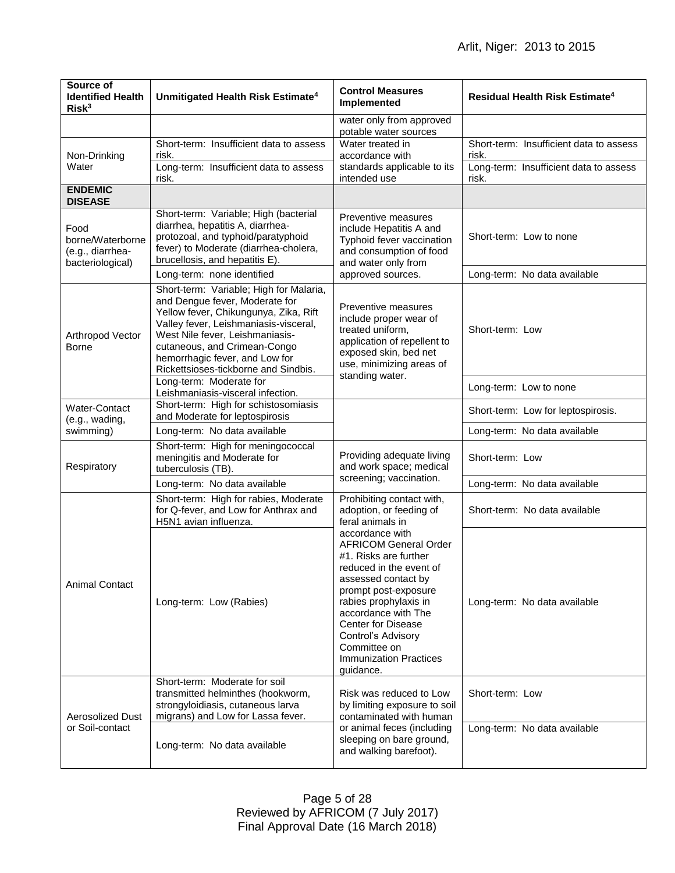| Source of<br><b>Identified Health</b><br>Risk <sup>3</sup>       | Unmitigated Health Risk Estimate <sup>4</sup>                                                                                                                                                                                                                                                            | <b>Control Measures</b><br>Implemented                                                                                                                                                                                                                                                                                                                                                          | <b>Residual Health Risk Estimate<sup>4</sup></b> |
|------------------------------------------------------------------|----------------------------------------------------------------------------------------------------------------------------------------------------------------------------------------------------------------------------------------------------------------------------------------------------------|-------------------------------------------------------------------------------------------------------------------------------------------------------------------------------------------------------------------------------------------------------------------------------------------------------------------------------------------------------------------------------------------------|--------------------------------------------------|
|                                                                  |                                                                                                                                                                                                                                                                                                          | water only from approved<br>potable water sources                                                                                                                                                                                                                                                                                                                                               |                                                  |
| Non-Drinking<br>Water                                            | Short-term: Insufficient data to assess<br>risk.                                                                                                                                                                                                                                                         | Water treated in<br>accordance with                                                                                                                                                                                                                                                                                                                                                             | Short-term: Insufficient data to assess<br>risk. |
|                                                                  | Long-term: Insufficient data to assess<br>risk.                                                                                                                                                                                                                                                          | standards applicable to its<br>intended use                                                                                                                                                                                                                                                                                                                                                     | Long-term: Insufficient data to assess<br>risk.  |
| <b>ENDEMIC</b><br><b>DISEASE</b>                                 |                                                                                                                                                                                                                                                                                                          |                                                                                                                                                                                                                                                                                                                                                                                                 |                                                  |
| Food<br>borne/Waterborne<br>(e.g., diarrhea-<br>bacteriological) | Short-term: Variable; High (bacterial<br>diarrhea, hepatitis A, diarrhea-<br>protozoal, and typhoid/paratyphoid<br>fever) to Moderate (diarrhea-cholera,<br>brucellosis, and hepatitis E).                                                                                                               | Preventive measures<br>include Hepatitis A and<br>Typhoid fever vaccination<br>and consumption of food<br>and water only from<br>approved sources.                                                                                                                                                                                                                                              | Short-term: Low to none                          |
|                                                                  | Long-term: none identified                                                                                                                                                                                                                                                                               |                                                                                                                                                                                                                                                                                                                                                                                                 | Long-term: No data available                     |
| Arthropod Vector<br><b>Borne</b>                                 | Short-term: Variable; High for Malaria,<br>and Dengue fever, Moderate for<br>Yellow fever, Chikungunya, Zika, Rift<br>Valley fever, Leishmaniasis-visceral,<br>West Nile fever, Leishmaniasis-<br>cutaneous, and Crimean-Congo<br>hemorrhagic fever, and Low for<br>Rickettsioses-tickborne and Sindbis. | Preventive measures<br>include proper wear of<br>treated uniform,<br>application of repellent to<br>exposed skin, bed net<br>use, minimizing areas of<br>standing water.                                                                                                                                                                                                                        | Short-term: Low                                  |
|                                                                  | Long-term: Moderate for<br>Leishmaniasis-visceral infection.                                                                                                                                                                                                                                             |                                                                                                                                                                                                                                                                                                                                                                                                 | Long-term: Low to none                           |
| Water-Contact<br>(e.g., wading,                                  | Short-term: High for schistosomiasis<br>and Moderate for leptospirosis                                                                                                                                                                                                                                   |                                                                                                                                                                                                                                                                                                                                                                                                 | Short-term: Low for leptospirosis.               |
| swimming)                                                        | Long-term: No data available                                                                                                                                                                                                                                                                             |                                                                                                                                                                                                                                                                                                                                                                                                 | Long-term: No data available                     |
| Respiratory                                                      | Short-term: High for meningococcal<br>meningitis and Moderate for<br>tuberculosis (TB).                                                                                                                                                                                                                  | Providing adequate living<br>and work space; medical                                                                                                                                                                                                                                                                                                                                            | Short-term: Low                                  |
|                                                                  | Long-term: No data available                                                                                                                                                                                                                                                                             | screening; vaccination.                                                                                                                                                                                                                                                                                                                                                                         | Long-term: No data available                     |
| <b>Animal Contact</b>                                            | Short-term: High for rabies, Moderate<br>for Q-fever, and Low for Anthrax and<br>H5N1 avian influenza.                                                                                                                                                                                                   | Prohibiting contact with,<br>adoption, or feeding of<br>feral animals in<br>accordance with<br><b>AFRICOM General Order</b><br>#1. Risks are further<br>reduced in the event of<br>assessed contact by<br>prompt post-exposure<br>rabies prophylaxis in<br>accordance with The<br><b>Center for Disease</b><br>Control's Advisory<br>Committee on<br><b>Immunization Practices</b><br>guidance. | Short-term: No data available                    |
|                                                                  | Long-term: Low (Rabies)                                                                                                                                                                                                                                                                                  |                                                                                                                                                                                                                                                                                                                                                                                                 | Long-term: No data available                     |
| <b>Aerosolized Dust</b><br>or Soil-contact                       | Short-term: Moderate for soil<br>transmitted helminthes (hookworm,<br>strongyloidiasis, cutaneous larva<br>migrans) and Low for Lassa fever.                                                                                                                                                             | Risk was reduced to Low<br>by limiting exposure to soil<br>contaminated with human<br>or animal feces (including<br>sleeping on bare ground,<br>and walking barefoot).                                                                                                                                                                                                                          | Short-term: Low                                  |
|                                                                  | Long-term: No data available                                                                                                                                                                                                                                                                             |                                                                                                                                                                                                                                                                                                                                                                                                 | Long-term: No data available                     |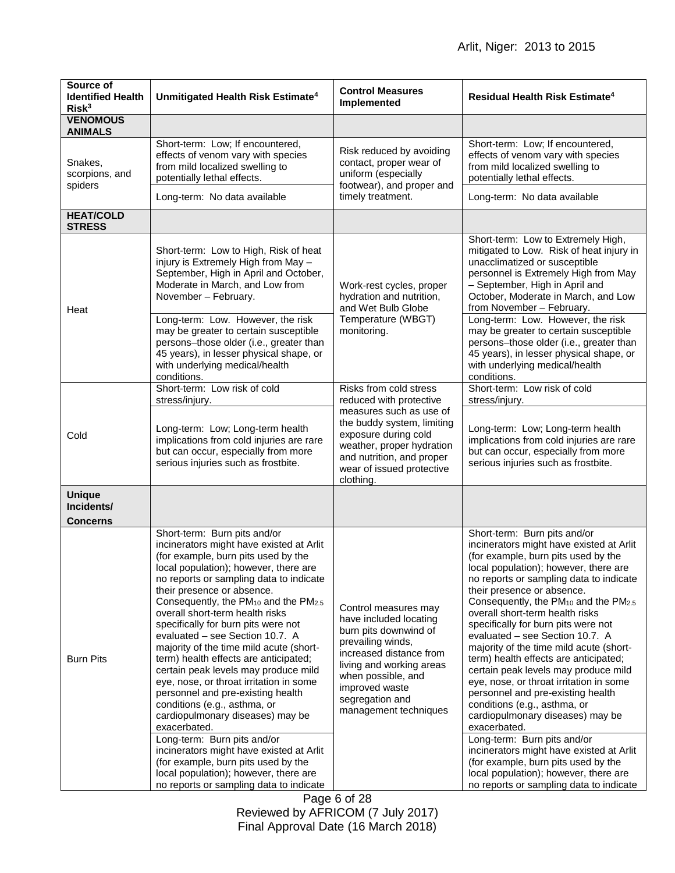| Source of<br><b>Identified Health</b><br>Risk <sup>3</sup> | Unmitigated Health Risk Estimate <sup>4</sup>                                                                                                                                                                                                                                                                                                                                                                                                                                                                                                                                                                                                                                                                                                                                                                                                                                                                        | <b>Control Measures</b><br>Implemented                                                                                                                                                                                                  | Residual Health Risk Estimate <sup>4</sup>                                                                                                                                                                                                                                                                                                                                                                                                                                                                                                                                                                                                                                                                                                                                                                                                                                                                           |
|------------------------------------------------------------|----------------------------------------------------------------------------------------------------------------------------------------------------------------------------------------------------------------------------------------------------------------------------------------------------------------------------------------------------------------------------------------------------------------------------------------------------------------------------------------------------------------------------------------------------------------------------------------------------------------------------------------------------------------------------------------------------------------------------------------------------------------------------------------------------------------------------------------------------------------------------------------------------------------------|-----------------------------------------------------------------------------------------------------------------------------------------------------------------------------------------------------------------------------------------|----------------------------------------------------------------------------------------------------------------------------------------------------------------------------------------------------------------------------------------------------------------------------------------------------------------------------------------------------------------------------------------------------------------------------------------------------------------------------------------------------------------------------------------------------------------------------------------------------------------------------------------------------------------------------------------------------------------------------------------------------------------------------------------------------------------------------------------------------------------------------------------------------------------------|
| <b>VENOMOUS</b><br><b>ANIMALS</b>                          |                                                                                                                                                                                                                                                                                                                                                                                                                                                                                                                                                                                                                                                                                                                                                                                                                                                                                                                      |                                                                                                                                                                                                                                         |                                                                                                                                                                                                                                                                                                                                                                                                                                                                                                                                                                                                                                                                                                                                                                                                                                                                                                                      |
| Snakes,<br>scorpions, and<br>spiders                       | Short-term: Low; If encountered,<br>effects of venom vary with species<br>from mild localized swelling to<br>potentially lethal effects.<br>Long-term: No data available                                                                                                                                                                                                                                                                                                                                                                                                                                                                                                                                                                                                                                                                                                                                             | Risk reduced by avoiding<br>contact, proper wear of<br>uniform (especially<br>footwear), and proper and<br>timely treatment.                                                                                                            | Short-term: Low; If encountered,<br>effects of venom vary with species<br>from mild localized swelling to<br>potentially lethal effects.<br>Long-term: No data available                                                                                                                                                                                                                                                                                                                                                                                                                                                                                                                                                                                                                                                                                                                                             |
| <b>HEAT/COLD</b><br><b>STRESS</b>                          |                                                                                                                                                                                                                                                                                                                                                                                                                                                                                                                                                                                                                                                                                                                                                                                                                                                                                                                      |                                                                                                                                                                                                                                         |                                                                                                                                                                                                                                                                                                                                                                                                                                                                                                                                                                                                                                                                                                                                                                                                                                                                                                                      |
| Heat                                                       | Short-term: Low to High, Risk of heat<br>injury is Extremely High from May -<br>September, High in April and October,<br>Moderate in March, and Low from<br>November - February.<br>Long-term: Low. However, the risk<br>may be greater to certain susceptible<br>persons-those older (i.e., greater than<br>45 years), in lesser physical shape, or<br>with underlying medical/health<br>conditions.                                                                                                                                                                                                                                                                                                                                                                                                                                                                                                                | Work-rest cycles, proper<br>hydration and nutrition,<br>and Wet Bulb Globe<br>Temperature (WBGT)<br>monitoring.                                                                                                                         | Short-term: Low to Extremely High,<br>mitigated to Low. Risk of heat injury in<br>unacclimatized or susceptible<br>personnel is Extremely High from May<br>- September, High in April and<br>October, Moderate in March, and Low<br>from November - February.<br>Long-term: Low. However, the risk<br>may be greater to certain susceptible<br>persons-those older (i.e., greater than<br>45 years), in lesser physical shape, or<br>with underlying medical/health<br>conditions.                                                                                                                                                                                                                                                                                                                                                                                                                                   |
| Cold                                                       | Short-term: Low risk of cold<br>stress/injury.<br>Long-term: Low; Long-term health<br>implications from cold injuries are rare<br>but can occur, especially from more<br>serious injuries such as frostbite.                                                                                                                                                                                                                                                                                                                                                                                                                                                                                                                                                                                                                                                                                                         | Risks from cold stress<br>reduced with protective<br>measures such as use of<br>the buddy system, limiting<br>exposure during cold<br>weather, proper hydration<br>and nutrition, and proper<br>wear of issued protective<br>clothing.  | Short-term: Low risk of cold<br>stress/injury.<br>Long-term: Low; Long-term health<br>implications from cold injuries are rare<br>but can occur, especially from more<br>serious injuries such as frostbite.                                                                                                                                                                                                                                                                                                                                                                                                                                                                                                                                                                                                                                                                                                         |
| <b>Unique</b><br>Incidents/<br><b>Concerns</b>             |                                                                                                                                                                                                                                                                                                                                                                                                                                                                                                                                                                                                                                                                                                                                                                                                                                                                                                                      |                                                                                                                                                                                                                                         |                                                                                                                                                                                                                                                                                                                                                                                                                                                                                                                                                                                                                                                                                                                                                                                                                                                                                                                      |
| <b>Burn Pits</b>                                           | Short-term: Burn pits and/or<br>incinerators might have existed at Arlit<br>(for example, burn pits used by the<br>local population); however, there are<br>no reports or sampling data to indicate<br>their presence or absence.<br>Consequently, the PM <sub>10</sub> and the PM <sub>2.5</sub><br>overall short-term health risks<br>specifically for burn pits were not<br>evaluated – see Section 10.7. A<br>majority of the time mild acute (short-<br>term) health effects are anticipated;<br>certain peak levels may produce mild<br>eye, nose, or throat irritation in some<br>personnel and pre-existing health<br>conditions (e.g., asthma, or<br>cardiopulmonary diseases) may be<br>exacerbated.<br>Long-term: Burn pits and/or<br>incinerators might have existed at Arlit<br>(for example, burn pits used by the<br>local population); however, there are<br>no reports or sampling data to indicate | Control measures may<br>have included locating<br>burn pits downwind of<br>prevailing winds,<br>increased distance from<br>living and working areas<br>when possible, and<br>improved waste<br>segregation and<br>management techniques | Short-term: Burn pits and/or<br>incinerators might have existed at Arlit<br>(for example, burn pits used by the<br>local population); however, there are<br>no reports or sampling data to indicate<br>their presence or absence.<br>Consequently, the PM <sub>10</sub> and the PM <sub>2.5</sub><br>overall short-term health risks<br>specifically for burn pits were not<br>evaluated - see Section 10.7. A<br>majority of the time mild acute (short-<br>term) health effects are anticipated;<br>certain peak levels may produce mild<br>eye, nose, or throat irritation in some<br>personnel and pre-existing health<br>conditions (e.g., asthma, or<br>cardiopulmonary diseases) may be<br>exacerbated.<br>Long-term: Burn pits and/or<br>incinerators might have existed at Arlit<br>(for example, burn pits used by the<br>local population); however, there are<br>no reports or sampling data to indicate |

Page 6 of 28 Reviewed by AFRICOM (7 July 2017) Final Approval Date (16 March 2018)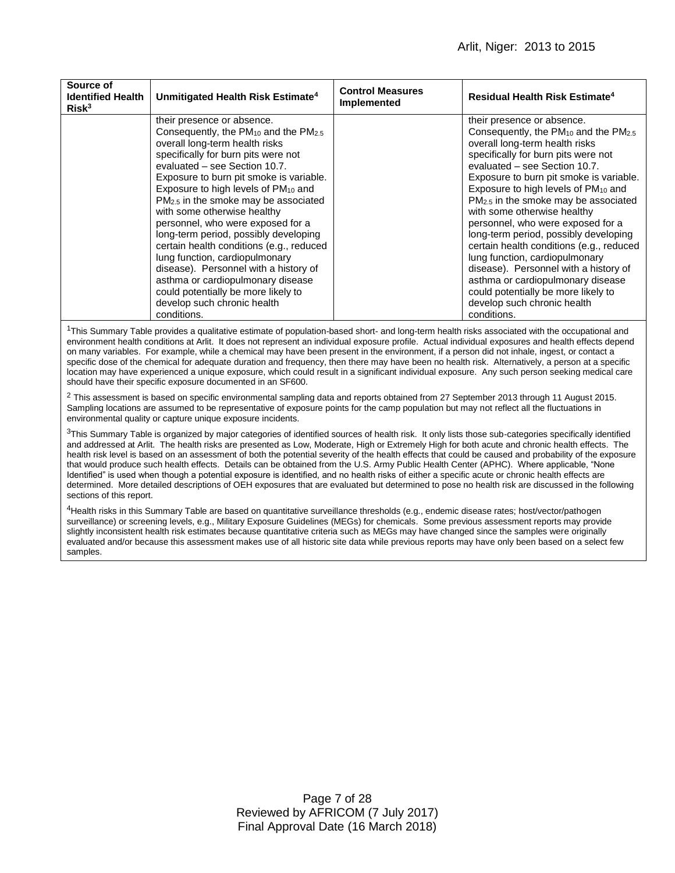| Source of<br><b>Identified Health</b><br>Risk <sup>3</sup> | Unmitigated Health Risk Estimate <sup>4</sup>                                                                                                                                                                                                                                                                                                                                                                                                                                                                                                                                                                                                                                                          | <b>Control Measures</b><br><b>Implemented</b> | Residual Health Risk Estimate <sup>4</sup>                                                                                                                                                                                                                                                                                                                                                                                                                                                                                                                                                                                                                                                             |
|------------------------------------------------------------|--------------------------------------------------------------------------------------------------------------------------------------------------------------------------------------------------------------------------------------------------------------------------------------------------------------------------------------------------------------------------------------------------------------------------------------------------------------------------------------------------------------------------------------------------------------------------------------------------------------------------------------------------------------------------------------------------------|-----------------------------------------------|--------------------------------------------------------------------------------------------------------------------------------------------------------------------------------------------------------------------------------------------------------------------------------------------------------------------------------------------------------------------------------------------------------------------------------------------------------------------------------------------------------------------------------------------------------------------------------------------------------------------------------------------------------------------------------------------------------|
|                                                            | their presence or absence.<br>Consequently, the $PM_{10}$ and the $PM_{2.5}$<br>overall long-term health risks<br>specifically for burn pits were not<br>evaluated - see Section 10.7.<br>Exposure to burn pit smoke is variable.<br>Exposure to high levels of PM <sub>10</sub> and<br>PM <sub>2.5</sub> in the smoke may be associated<br>with some otherwise healthy<br>personnel, who were exposed for a<br>long-term period, possibly developing<br>certain health conditions (e.g., reduced<br>lung function, cardiopulmonary<br>disease). Personnel with a history of<br>asthma or cardiopulmonary disease<br>could potentially be more likely to<br>develop such chronic health<br>conditions. |                                               | their presence or absence.<br>Consequently, the $PM_{10}$ and the $PM_{2.5}$<br>overall long-term health risks<br>specifically for burn pits were not<br>evaluated – see Section 10.7.<br>Exposure to burn pit smoke is variable.<br>Exposure to high levels of PM <sub>10</sub> and<br>PM <sub>2.5</sub> in the smoke may be associated<br>with some otherwise healthy<br>personnel, who were exposed for a<br>long-term period, possibly developing<br>certain health conditions (e.g., reduced<br>lung function, cardiopulmonary<br>disease). Personnel with a history of<br>asthma or cardiopulmonary disease<br>could potentially be more likely to<br>develop such chronic health<br>conditions. |

<sup>1</sup>This Summary Table provides a qualitative estimate of population-based short- and long-term health risks associated with the occupational and environment health conditions at Arlit. It does not represent an individual exposure profile. Actual individual exposures and health effects depend on many variables. For example, while a chemical may have been present in the environment, if a person did not inhale, ingest, or contact a specific dose of the chemical for adequate duration and frequency, then there may have been no health risk. Alternatively, a person at a specific location may have experienced a unique exposure, which could result in a significant individual exposure. Any such person seeking medical care should have their specific exposure documented in an SF600.

<sup>2</sup> This assessment is based on specific environmental sampling data and reports obtained from 27 September 2013 through 11 August 2015. Sampling locations are assumed to be representative of exposure points for the camp population but may not reflect all the fluctuations in environmental quality or capture unique exposure incidents.

<sup>3</sup>This Summary Table is organized by major categories of identified sources of health risk. It only lists those sub-categories specifically identified and addressed at Arlit. The health risks are presented as Low, Moderate, High or Extremely High for both acute and chronic health effects. The health risk level is based on an assessment of both the potential severity of the health effects that could be caused and probability of the exposure that would produce such health effects. Details can be obtained from the U.S. Army Public Health Center (APHC). Where applicable, "None Identified" is used when though a potential exposure is identified, and no health risks of either a specific acute or chronic health effects are determined. More detailed descriptions of OEH exposures that are evaluated but determined to pose no health risk are discussed in the following sections of this report.

<sup>4</sup>Health risks in this Summary Table are based on quantitative surveillance thresholds (e.g., endemic disease rates; host/vector/pathogen surveillance) or screening levels, e.g., Military Exposure Guidelines (MEGs) for chemicals. Some previous assessment reports may provide slightly inconsistent health risk estimates because quantitative criteria such as MEGs may have changed since the samples were originally evaluated and/or because this assessment makes use of all historic site data while previous reports may have only been based on a select few samples.

> Page 7 of 28 Reviewed by AFRICOM (7 July 2017) Final Approval Date (16 March 2018)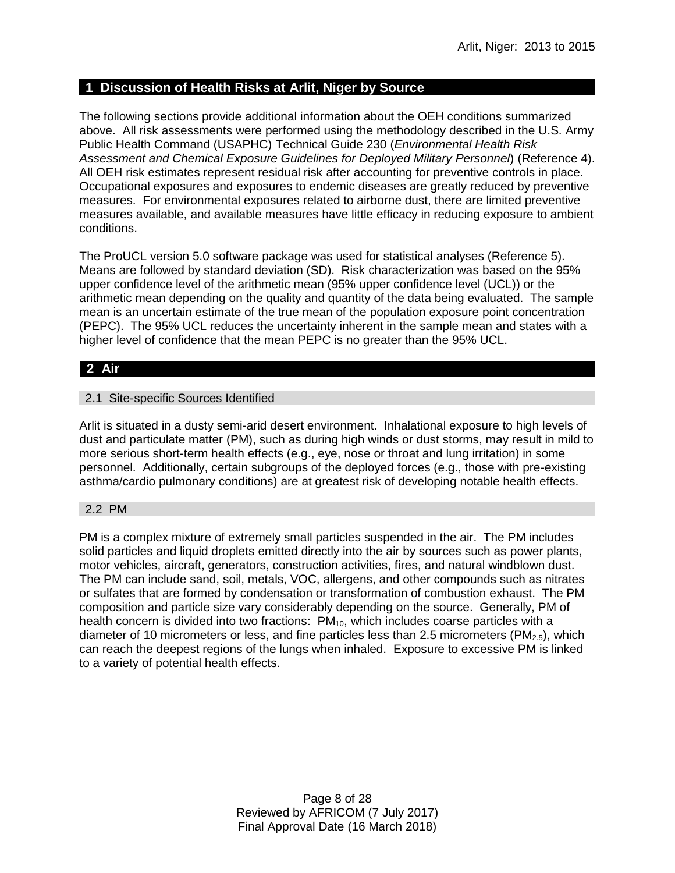### **1 Discussion of Health Risks at Arlit, Niger by Source**

The following sections provide additional information about the OEH conditions summarized above. All risk assessments were performed using the methodology described in the U.S. Army Public Health Command (USAPHC) Technical Guide 230 (*Environmental Health Risk Assessment and Chemical Exposure Guidelines for Deployed Military Personnel*) (Reference 4). All OEH risk estimates represent residual risk after accounting for preventive controls in place. Occupational exposures and exposures to endemic diseases are greatly reduced by preventive measures. For environmental exposures related to airborne dust, there are limited preventive measures available, and available measures have little efficacy in reducing exposure to ambient conditions.

The ProUCL version 5.0 software package was used for statistical analyses (Reference 5). Means are followed by standard deviation (SD). Risk characterization was based on the 95% upper confidence level of the arithmetic mean (95% upper confidence level (UCL)) or the arithmetic mean depending on the quality and quantity of the data being evaluated. The sample mean is an uncertain estimate of the true mean of the population exposure point concentration (PEPC). The 95% UCL reduces the uncertainty inherent in the sample mean and states with a higher level of confidence that the mean PEPC is no greater than the 95% UCL.

# **2 Air**

### 2.1 Site-specific Sources Identified

Arlit is situated in a dusty semi-arid desert environment. Inhalational exposure to high levels of dust and particulate matter (PM), such as during high winds or dust storms, may result in mild to more serious short-term health effects (e.g., eye, nose or throat and lung irritation) in some personnel. Additionally, certain subgroups of the deployed forces (e.g., those with pre-existing asthma/cardio pulmonary conditions) are at greatest risk of developing notable health effects.

### 2.2 PM

PM is a complex mixture of extremely small particles suspended in the air. The PM includes solid particles and liquid droplets emitted directly into the air by sources such as power plants, motor vehicles, aircraft, generators, construction activities, fires, and natural windblown dust. The PM can include sand, soil, metals, VOC, allergens, and other compounds such as nitrates or sulfates that are formed by condensation or transformation of combustion exhaust. The PM composition and particle size vary considerably depending on the source. Generally, PM of health concern is divided into two fractions: PM<sub>10</sub>, which includes coarse particles with a diameter of 10 micrometers or less, and fine particles less than 2.5 micrometers ( $PM<sub>2.5</sub>$ ), which can reach the deepest regions of the lungs when inhaled. Exposure to excessive PM is linked to a variety of potential health effects.

> Page 8 of 28 Reviewed by AFRICOM (7 July 2017) Final Approval Date (16 March 2018)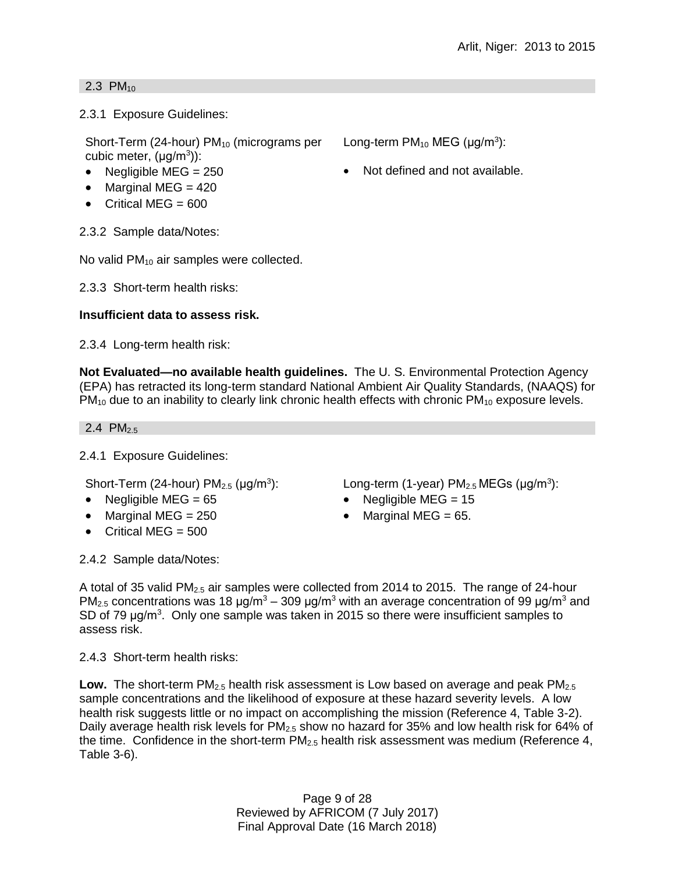### 2.3  $PM_{10}$

2.3.1 Exposure Guidelines:

Short-Term (24-hour)  $PM_{10}$  (micrograms per cubic meter,  $(\mu g/m^3)$ ):

- 
- $\bullet$  Marginal MEG = 420
- $\bullet$  Critical MEG = 600

2.3.2 Sample data/Notes:

No valid PM<sub>10</sub> air samples were collected.

2.3.3 Short-term health risks:

# **Insufficient data to assess risk.**

2.3.4 Long-term health risk:

**Not Evaluated—no available health guidelines.** The U. S. Environmental Protection Agency (EPA) has retracted its long-term standard National Ambient Air Quality Standards, (NAAQS) for  $PM_{10}$  due to an inability to clearly link chronic health effects with chronic  $PM_{10}$  exposure levels.

2.4 PM<sub>2.5</sub>

2.4.1 Exposure Guidelines:

Short-Term (24-hour)  $PM<sub>2.5</sub>$  ( $\mu$ g/m<sup>3</sup>): ): Long-term (1-year)  $PM_{2.5}$  MEGs ( $\mu$ g/m<sup>3</sup>):

- Negligible MEG = 65 Negligible MEG = 15
- Marginal MEG =  $250$  Marginal MEG =  $65$ .
- Critical MEG  $= 500$

2.4.2 Sample data/Notes:

A total of 35 valid PM<sub>2.5</sub> air samples were collected from 2014 to 2015. The range of 24-hour PM<sub>2.5</sub> concentrations was 18  $\mu q/m^3 - 309 \mu q/m^3$  with an average concentration of 99  $\mu q/m^3$  and SD of 79  $\mu$ g/m<sup>3</sup>. Only one sample was taken in 2015 so there were insufficient samples to assess risk.

2.4.3 Short-term health risks:

**Low.** The short-term PM<sub>2.5</sub> health risk assessment is Low based on average and peak PM<sub>2.5</sub> sample concentrations and the likelihood of exposure at these hazard severity levels. A low health risk suggests little or no impact on accomplishing the mission (Reference 4, Table 3-2). Daily average health risk levels for  $PM_{2.5}$  show no hazard for 35% and low health risk for 64% of the time. Confidence in the short-term  $PM_{2.5}$  health risk assessment was medium (Reference 4, Table 3-6).

> Page 9 of 28 Reviewed by AFRICOM (7 July 2017) Final Approval Date (16 March 2018)

Long-term  $PM_{10}$  MEG ( $\mu$ g/m<sup>3</sup>):

• Negligible MEG =  $250$   $\bullet$  Not defined and not available.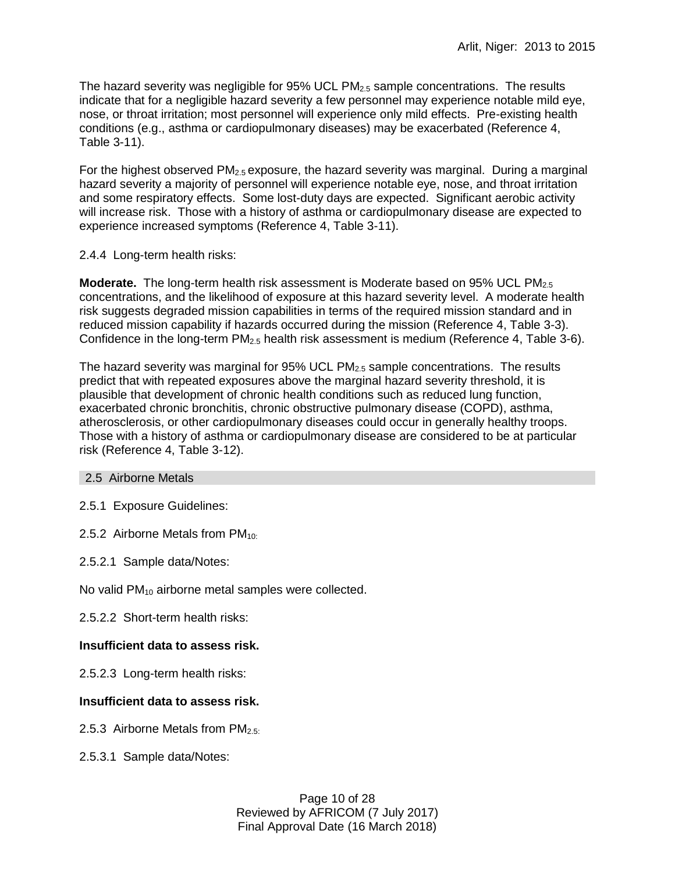The hazard severity was negligible for 95% UCL  $PM<sub>2.5</sub>$  sample concentrations. The results indicate that for a negligible hazard severity a few personnel may experience notable mild eye, nose, or throat irritation; most personnel will experience only mild effects. Pre-existing health conditions (e.g., asthma or cardiopulmonary diseases) may be exacerbated (Reference 4, Table 3-11).

For the highest observed  $PM<sub>2.5</sub>$  exposure, the hazard severity was marginal. During a marginal hazard severity a majority of personnel will experience notable eye, nose, and throat irritation and some respiratory effects. Some lost-duty days are expected. Significant aerobic activity will increase risk. Those with a history of asthma or cardiopulmonary disease are expected to experience increased symptoms (Reference 4, Table 3-11).

### 2.4.4 Long-term health risks:

**Moderate.** The long-term health risk assessment is Moderate based on 95% UCL PM<sub>2.5</sub> concentrations, and the likelihood of exposure at this hazard severity level. A moderate health risk suggests degraded mission capabilities in terms of the required mission standard and in reduced mission capability if hazards occurred during the mission (Reference 4, Table 3-3). Confidence in the long-term PM2.5 health risk assessment is medium (Reference 4, Table 3-6).

The hazard severity was marginal for  $95\%$  UCL PM<sub>2.5</sub> sample concentrations. The results predict that with repeated exposures above the marginal hazard severity threshold, it is plausible that development of chronic health conditions such as reduced lung function, exacerbated chronic bronchitis, chronic obstructive pulmonary disease (COPD), asthma, atherosclerosis, or other cardiopulmonary diseases could occur in generally healthy troops. Those with a history of asthma or cardiopulmonary disease are considered to be at particular risk (Reference 4, Table 3-12).

### 2.5 Airborne Metals

2.5.1 Exposure Guidelines:

2.5.2 Airborne Metals from  $PM_{10}$ :

2.5.2.1 Sample data/Notes:

No valid PM<sub>10</sub> airborne metal samples were collected.

2.5.2.2 Short-term health risks:

# **Insufficient data to assess risk.**

2.5.2.3 Long-term health risks:

# **Insufficient data to assess risk.**

- 2.5.3 Airborne Metals from  $PM_{2.5}$ .
- 2.5.3.1 Sample data/Notes:

Page 10 of 28 Reviewed by AFRICOM (7 July 2017) Final Approval Date (16 March 2018)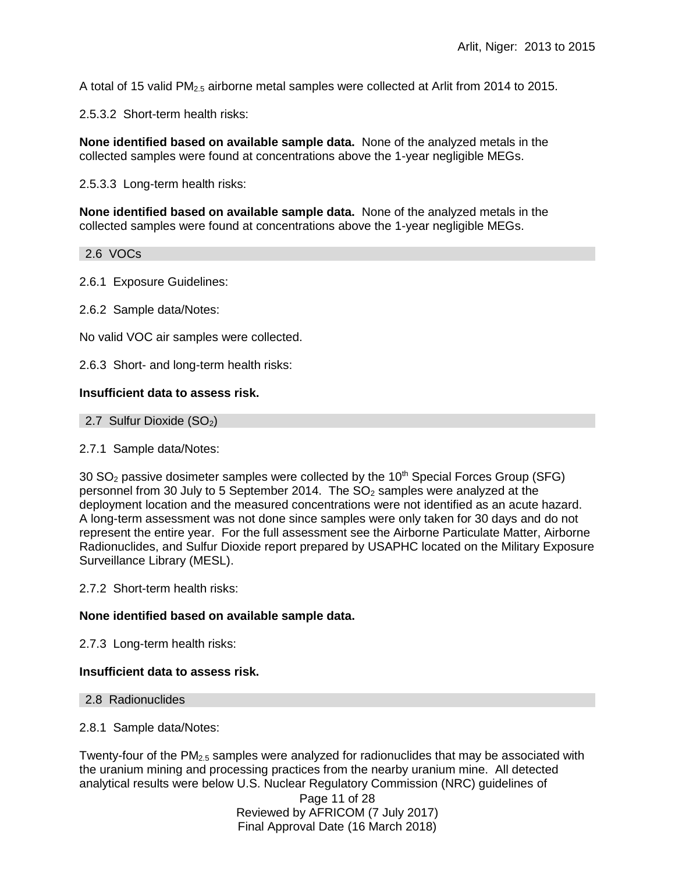A total of 15 valid PM2.5 airborne metal samples were collected at Arlit from 2014 to 2015.

2.5.3.2 Short-term health risks:

**None identified based on available sample data.** None of the analyzed metals in the collected samples were found at concentrations above the 1-year negligible MEGs.

2.5.3.3 Long-term health risks:

**None identified based on available sample data.** None of the analyzed metals in the collected samples were found at concentrations above the 1-year negligible MEGs.

2.6 VOCs

2.6.1 Exposure Guidelines:

2.6.2 Sample data/Notes:

No valid VOC air samples were collected.

2.6.3 Short- and long-term health risks:

### **Insufficient data to assess risk.**

2.7 Sulfur Dioxide  $(SO<sub>2</sub>)$ 

2.7.1 Sample data/Notes:

30  $SO<sub>2</sub>$  passive dosimeter samples were collected by the 10<sup>th</sup> Special Forces Group (SFG) personnel from 30 July to 5 September 2014. The  $SO<sub>2</sub>$  samples were analyzed at the deployment location and the measured concentrations were not identified as an acute hazard. A long-term assessment was not done since samples were only taken for 30 days and do not represent the entire year. For the full assessment see the Airborne Particulate Matter, Airborne Radionuclides, and Sulfur Dioxide report prepared by USAPHC located on the Military Exposure Surveillance Library (MESL).

2.7.2 Short-term health risks:

### **None identified based on available sample data.**

2.7.3 Long-term health risks:

### **Insufficient data to assess risk.**

2.8 Radionuclides

2.8.1 Sample data/Notes:

Twenty-four of the  $PM_{2.5}$  samples were analyzed for radionuclides that may be associated with the uranium mining and processing practices from the nearby uranium mine. All detected analytical results were below U.S. Nuclear Regulatory Commission (NRC) guidelines of

> Page 11 of 28 Reviewed by AFRICOM (7 July 2017) Final Approval Date (16 March 2018)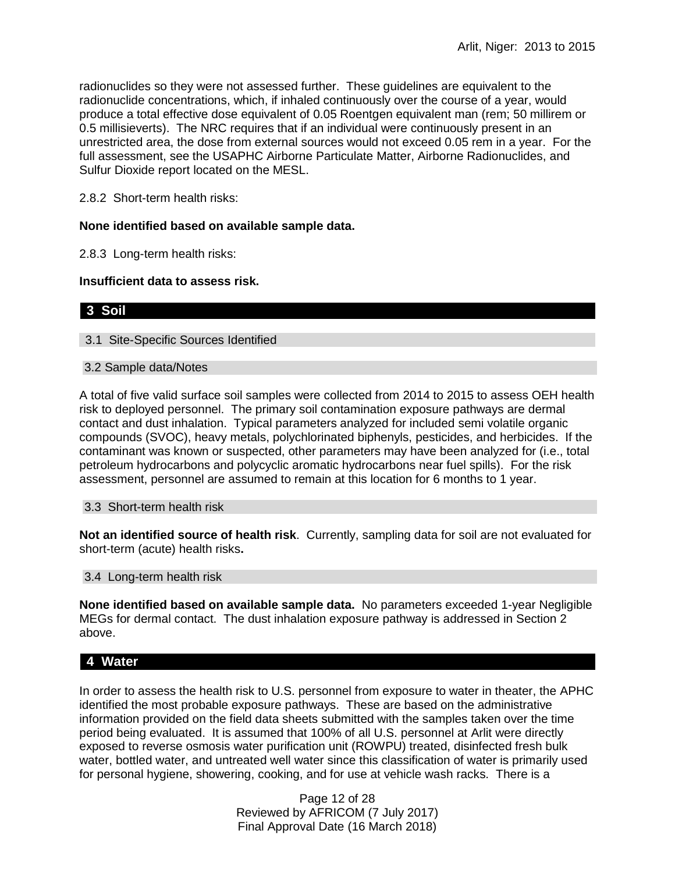radionuclides so they were not assessed further. These guidelines are equivalent to the radionuclide concentrations, which, if inhaled continuously over the course of a year, would produce a total effective dose equivalent of 0.05 Roentgen equivalent man (rem; 50 millirem or 0.5 millisieverts). The NRC requires that if an individual were continuously present in an unrestricted area, the dose from external sources would not exceed 0.05 rem in a year. For the full assessment, see the USAPHC Airborne Particulate Matter, Airborne Radionuclides, and Sulfur Dioxide report located on the MESL.

2.8.2 Short-term health risks:

### **None identified based on available sample data.**

2.8.3 Long-term health risks:

#### **Insufficient data to assess risk.**

### **3 Soil**

3.1 Site-Specific Sources Identified

#### 3.2 Sample data/Notes

A total of five valid surface soil samples were collected from 2014 to 2015 to assess OEH health risk to deployed personnel. The primary soil contamination exposure pathways are dermal contact and dust inhalation. Typical parameters analyzed for included semi volatile organic compounds (SVOC), heavy metals, polychlorinated biphenyls, pesticides, and herbicides. If the contaminant was known or suspected, other parameters may have been analyzed for (i.e., total petroleum hydrocarbons and polycyclic aromatic hydrocarbons near fuel spills). For the risk assessment, personnel are assumed to remain at this location for 6 months to 1 year.

3.3 Short-term health risk

**Not an identified source of health risk**. Currently, sampling data for soil are not evaluated for short-term (acute) health risks**.**

#### 3.4 Long-term health risk

**None identified based on available sample data.** No parameters exceeded 1-year Negligible MEGs for dermal contact. The dust inhalation exposure pathway is addressed in Section 2 above.

# **4 Water**

In order to assess the health risk to U.S. personnel from exposure to water in theater, the APHC identified the most probable exposure pathways. These are based on the administrative information provided on the field data sheets submitted with the samples taken over the time period being evaluated. It is assumed that 100% of all U.S. personnel at Arlit were directly exposed to reverse osmosis water purification unit (ROWPU) treated, disinfected fresh bulk water, bottled water, and untreated well water since this classification of water is primarily used for personal hygiene, showering, cooking, and for use at vehicle wash racks. There is a

> Page 12 of 28 Reviewed by AFRICOM (7 July 2017) Final Approval Date (16 March 2018)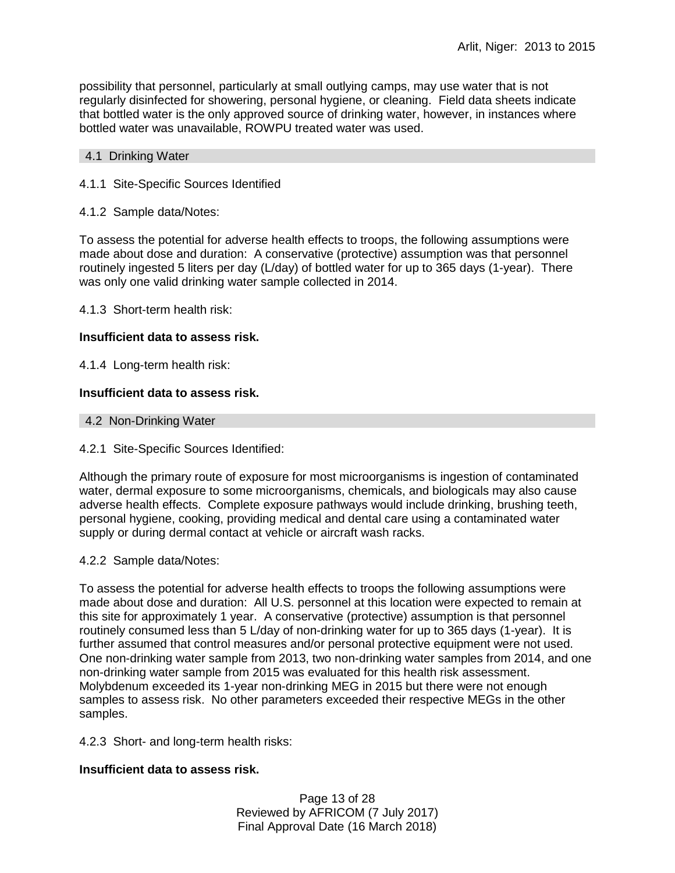possibility that personnel, particularly at small outlying camps, may use water that is not regularly disinfected for showering, personal hygiene, or cleaning. Field data sheets indicate that bottled water is the only approved source of drinking water, however, in instances where bottled water was unavailable, ROWPU treated water was used.

#### 4.1 Drinking Water

### 4.1.1 Site-Specific Sources Identified

### 4.1.2 Sample data/Notes:

To assess the potential for adverse health effects to troops, the following assumptions were made about dose and duration: A conservative (protective) assumption was that personnel routinely ingested 5 liters per day (L/day) of bottled water for up to 365 days (1-year). There was only one valid drinking water sample collected in 2014.

4.1.3 Short-term health risk:

### **Insufficient data to assess risk.**

4.1.4 Long-term health risk:

### **Insufficient data to assess risk.**

4.2 Non-Drinking Water

### 4.2.1 Site-Specific Sources Identified:

Although the primary route of exposure for most microorganisms is ingestion of contaminated water, dermal exposure to some microorganisms, chemicals, and biologicals may also cause adverse health effects. Complete exposure pathways would include drinking, brushing teeth, personal hygiene, cooking, providing medical and dental care using a contaminated water supply or during dermal contact at vehicle or aircraft wash racks.

### 4.2.2 Sample data/Notes:

To assess the potential for adverse health effects to troops the following assumptions were made about dose and duration: All U.S. personnel at this location were expected to remain at this site for approximately 1 year. A conservative (protective) assumption is that personnel routinely consumed less than 5 L/day of non-drinking water for up to 365 days (1-year). It is further assumed that control measures and/or personal protective equipment were not used. One non-drinking water sample from 2013, two non-drinking water samples from 2014, and one non-drinking water sample from 2015 was evaluated for this health risk assessment. Molybdenum exceeded its 1-year non-drinking MEG in 2015 but there were not enough samples to assess risk. No other parameters exceeded their respective MEGs in the other samples.

4.2.3 Short- and long-term health risks:

### **Insufficient data to assess risk.**

Page 13 of 28 Reviewed by AFRICOM (7 July 2017) Final Approval Date (16 March 2018)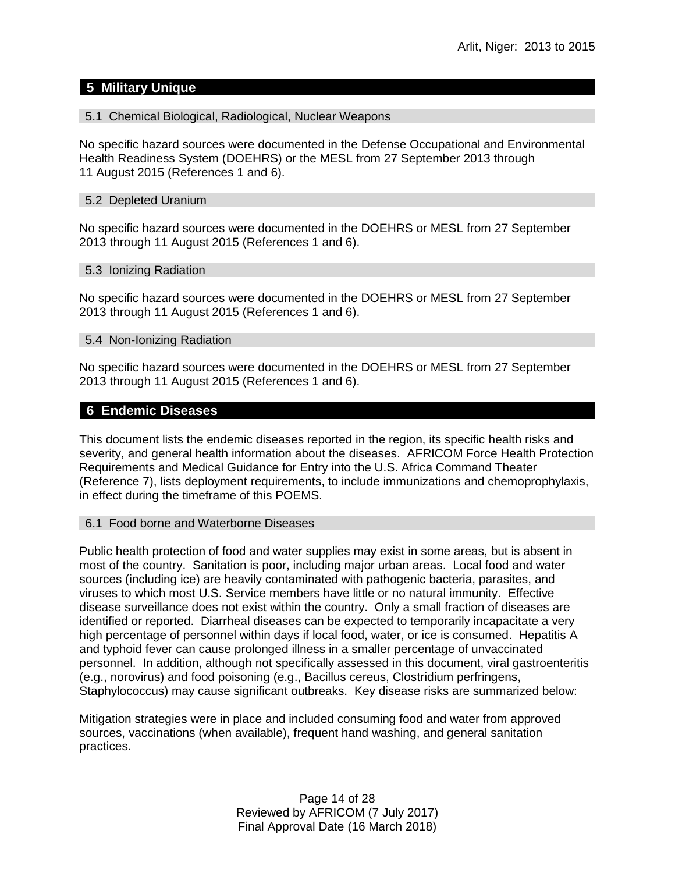# **5 Military Unique**

### 5.1 Chemical Biological, Radiological, Nuclear Weapons

No specific hazard sources were documented in the Defense Occupational and Environmental Health Readiness System (DOEHRS) or the MESL from 27 September 2013 through 11 August 2015 (References 1 and 6).

#### 5.2 Depleted Uranium

No specific hazard sources were documented in the DOEHRS or MESL from 27 September 2013 through 11 August 2015 (References 1 and 6).

#### 5.3 Ionizing Radiation

No specific hazard sources were documented in the DOEHRS or MESL from 27 September 2013 through 11 August 2015 (References 1 and 6).

### 5.4 Non-Ionizing Radiation

No specific hazard sources were documented in the DOEHRS or MESL from 27 September 2013 through 11 August 2015 (References 1 and 6).

### **6 Endemic Diseases**

This document lists the endemic diseases reported in the region, its specific health risks and severity, and general health information about the diseases. AFRICOM Force Health Protection Requirements and Medical Guidance for Entry into the U.S. Africa Command Theater (Reference 7), lists deployment requirements, to include immunizations and chemoprophylaxis, in effect during the timeframe of this POEMS.

### 6.1 Food borne and Waterborne Diseases

Public health protection of food and water supplies may exist in some areas, but is absent in most of the country. Sanitation is poor, including major urban areas. Local food and water sources (including ice) are heavily contaminated with pathogenic bacteria, parasites, and viruses to which most U.S. Service members have little or no natural immunity. Effective disease surveillance does not exist within the country. Only a small fraction of diseases are identified or reported. Diarrheal diseases can be expected to temporarily incapacitate a very high percentage of personnel within days if local food, water, or ice is consumed. Hepatitis A and typhoid fever can cause prolonged illness in a smaller percentage of unvaccinated personnel. In addition, although not specifically assessed in this document, viral gastroenteritis (e.g., norovirus) and food poisoning (e.g., Bacillus cereus, Clostridium perfringens, Staphylococcus) may cause significant outbreaks. Key disease risks are summarized below:

Mitigation strategies were in place and included consuming food and water from approved sources, vaccinations (when available), frequent hand washing, and general sanitation practices.

> Page 14 of 28 Reviewed by AFRICOM (7 July 2017) Final Approval Date (16 March 2018)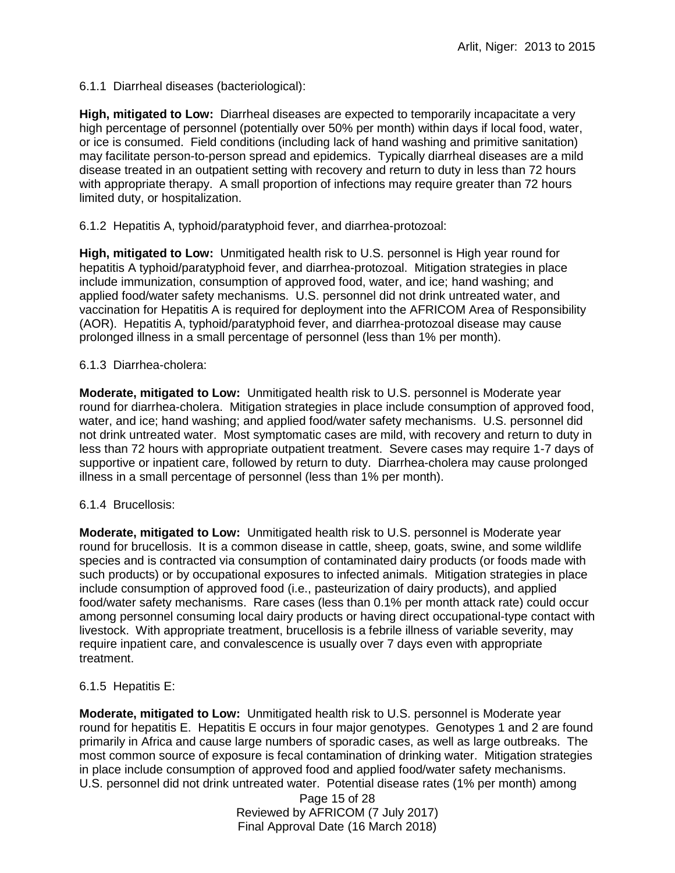6.1.1 Diarrheal diseases (bacteriological):

**High, mitigated to Low:** Diarrheal diseases are expected to temporarily incapacitate a very high percentage of personnel (potentially over 50% per month) within days if local food, water, or ice is consumed. Field conditions (including lack of hand washing and primitive sanitation) may facilitate person-to-person spread and epidemics. Typically diarrheal diseases are a mild disease treated in an outpatient setting with recovery and return to duty in less than 72 hours with appropriate therapy. A small proportion of infections may require greater than 72 hours limited duty, or hospitalization.

6.1.2 Hepatitis A, typhoid/paratyphoid fever, and diarrhea-protozoal:

**High, mitigated to Low:** Unmitigated health risk to U.S. personnel is High year round for hepatitis A typhoid/paratyphoid fever, and diarrhea-protozoal. Mitigation strategies in place include immunization, consumption of approved food, water, and ice; hand washing; and applied food/water safety mechanisms. U.S. personnel did not drink untreated water, and vaccination for Hepatitis A is required for deployment into the AFRICOM Area of Responsibility (AOR). Hepatitis A, typhoid/paratyphoid fever, and diarrhea-protozoal disease may cause prolonged illness in a small percentage of personnel (less than 1% per month).

### 6.1.3 Diarrhea-cholera:

**Moderate, mitigated to Low:** Unmitigated health risk to U.S. personnel is Moderate year round for diarrhea-cholera. Mitigation strategies in place include consumption of approved food, water, and ice; hand washing; and applied food/water safety mechanisms. U.S. personnel did not drink untreated water. Most symptomatic cases are mild, with recovery and return to duty in less than 72 hours with appropriate outpatient treatment. Severe cases may require 1-7 days of supportive or inpatient care, followed by return to duty. Diarrhea-cholera may cause prolonged illness in a small percentage of personnel (less than 1% per month).

### 6.1.4 Brucellosis:

**Moderate, mitigated to Low:** Unmitigated health risk to U.S. personnel is Moderate year round for brucellosis. It is a common disease in cattle, sheep, goats, swine, and some wildlife species and is contracted via consumption of contaminated dairy products (or foods made with such products) or by occupational exposures to infected animals. Mitigation strategies in place include consumption of approved food (i.e., pasteurization of dairy products), and applied food/water safety mechanisms. Rare cases (less than 0.1% per month attack rate) could occur among personnel consuming local dairy products or having direct occupational-type contact with livestock. With appropriate treatment, brucellosis is a febrile illness of variable severity, may require inpatient care, and convalescence is usually over 7 days even with appropriate treatment.

# 6.1.5 Hepatitis E:

**Moderate, mitigated to Low:** Unmitigated health risk to U.S. personnel is Moderate year round for hepatitis E. Hepatitis E occurs in four major genotypes. Genotypes 1 and 2 are found primarily in Africa and cause large numbers of sporadic cases, as well as large outbreaks. The most common source of exposure is fecal contamination of drinking water. Mitigation strategies in place include consumption of approved food and applied food/water safety mechanisms. U.S. personnel did not drink untreated water. Potential disease rates (1% per month) among

> Page 15 of 28 Reviewed by AFRICOM (7 July 2017) Final Approval Date (16 March 2018)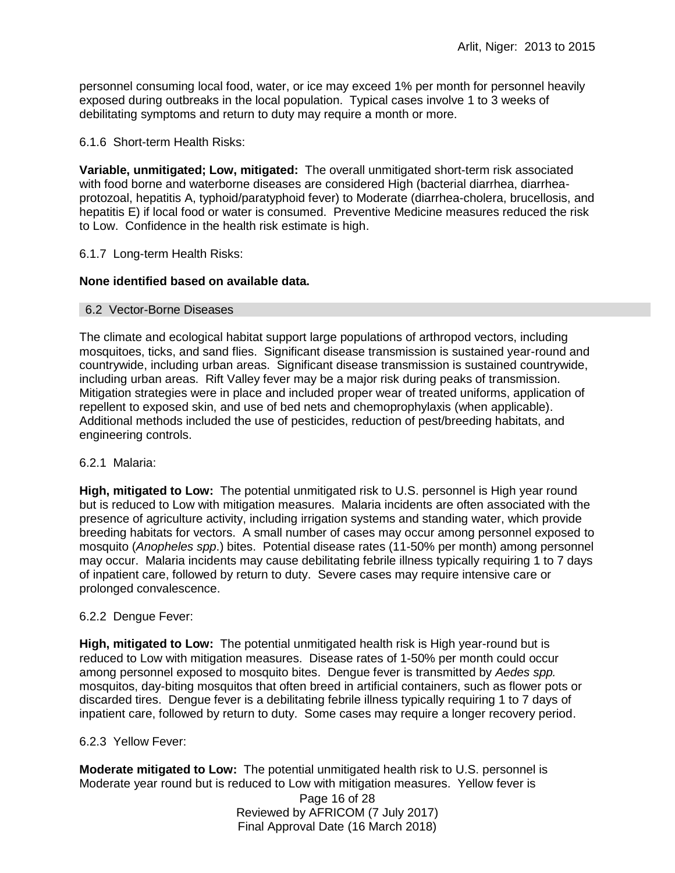personnel consuming local food, water, or ice may exceed 1% per month for personnel heavily exposed during outbreaks in the local population. Typical cases involve 1 to 3 weeks of debilitating symptoms and return to duty may require a month or more.

6.1.6 Short-term Health Risks:

**Variable, unmitigated; Low, mitigated:** The overall unmitigated short-term risk associated with food borne and waterborne diseases are considered High (bacterial diarrhea, diarrheaprotozoal, hepatitis A, typhoid/paratyphoid fever) to Moderate (diarrhea-cholera, brucellosis, and hepatitis E) if local food or water is consumed. Preventive Medicine measures reduced the risk to Low. Confidence in the health risk estimate is high.

### 6.1.7 Long-term Health Risks:

### **None identified based on available data.**

### 6.2 Vector-Borne Diseases

The climate and ecological habitat support large populations of arthropod vectors, including mosquitoes, ticks, and sand flies. Significant disease transmission is sustained year-round and countrywide, including urban areas. Significant disease transmission is sustained countrywide, including urban areas. Rift Valley fever may be a major risk during peaks of transmission. Mitigation strategies were in place and included proper wear of treated uniforms, application of repellent to exposed skin, and use of bed nets and chemoprophylaxis (when applicable). Additional methods included the use of pesticides, reduction of pest/breeding habitats, and engineering controls.

### 6.2.1 Malaria:

**High, mitigated to Low:** The potential unmitigated risk to U.S. personnel is High year round but is reduced to Low with mitigation measures. Malaria incidents are often associated with the presence of agriculture activity, including irrigation systems and standing water, which provide breeding habitats for vectors. A small number of cases may occur among personnel exposed to mosquito (*Anopheles spp*.) bites. Potential disease rates (11-50% per month) among personnel may occur. Malaria incidents may cause debilitating febrile illness typically requiring 1 to 7 days of inpatient care, followed by return to duty. Severe cases may require intensive care or prolonged convalescence.

### 6.2.2 Dengue Fever:

**High, mitigated to Low:** The potential unmitigated health risk is High year-round but is reduced to Low with mitigation measures. Disease rates of 1-50% per month could occur among personnel exposed to mosquito bites. Dengue fever is transmitted by *Aedes spp.* mosquitos, day-biting mosquitos that often breed in artificial containers, such as flower pots or discarded tires. Dengue fever is a debilitating febrile illness typically requiring 1 to 7 days of inpatient care, followed by return to duty. Some cases may require a longer recovery period.

### 6.2.3 Yellow Fever:

**Moderate mitigated to Low:** The potential unmitigated health risk to U.S. personnel is Moderate year round but is reduced to Low with mitigation measures. Yellow fever is

Page 16 of 28 Reviewed by AFRICOM (7 July 2017) Final Approval Date (16 March 2018)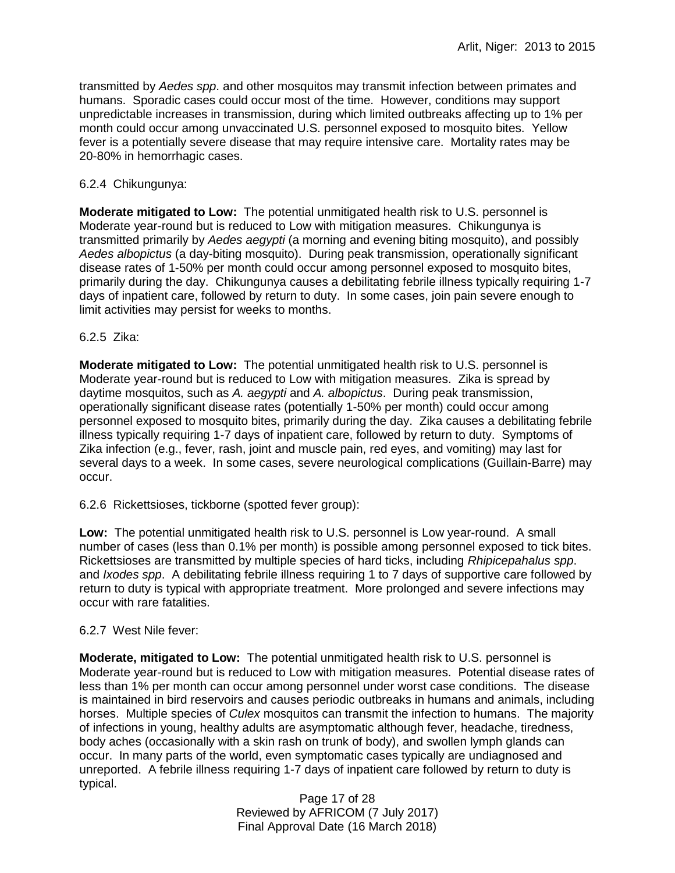transmitted by *Aedes spp*. and other mosquitos may transmit infection between primates and humans. Sporadic cases could occur most of the time. However, conditions may support unpredictable increases in transmission, during which limited outbreaks affecting up to 1% per month could occur among unvaccinated U.S. personnel exposed to mosquito bites. Yellow fever is a potentially severe disease that may require intensive care. Mortality rates may be 20-80% in hemorrhagic cases.

# 6.2.4 Chikungunya:

**Moderate mitigated to Low:** The potential unmitigated health risk to U.S. personnel is Moderate year-round but is reduced to Low with mitigation measures. Chikungunya is transmitted primarily by *Aedes aegypti* (a morning and evening biting mosquito), and possibly *Aedes albopictus* (a day-biting mosquito). During peak transmission, operationally significant disease rates of 1-50% per month could occur among personnel exposed to mosquito bites, primarily during the day. Chikungunya causes a debilitating febrile illness typically requiring 1-7 days of inpatient care, followed by return to duty. In some cases, join pain severe enough to limit activities may persist for weeks to months.

### 6.2.5 Zika:

**Moderate mitigated to Low:** The potential unmitigated health risk to U.S. personnel is Moderate year-round but is reduced to Low with mitigation measures. Zika is spread by daytime mosquitos, such as *A. aegypti* and *A. albopictus*. During peak transmission, operationally significant disease rates (potentially 1-50% per month) could occur among personnel exposed to mosquito bites, primarily during the day. Zika causes a debilitating febrile illness typically requiring 1-7 days of inpatient care, followed by return to duty. Symptoms of Zika infection (e.g., fever, rash, joint and muscle pain, red eyes, and vomiting) may last for several days to a week. In some cases, severe neurological complications (Guillain-Barre) may occur.

6.2.6 Rickettsioses, tickborne (spotted fever group):

**Low:** The potential unmitigated health risk to U.S. personnel is Low year-round. A small number of cases (less than 0.1% per month) is possible among personnel exposed to tick bites. Rickettsioses are transmitted by multiple species of hard ticks, including *Rhipicepahalus spp*. and *Ixodes spp*. A debilitating febrile illness requiring 1 to 7 days of supportive care followed by return to duty is typical with appropriate treatment. More prolonged and severe infections may occur with rare fatalities.

# 6.2.7 West Nile fever:

**Moderate, mitigated to Low:** The potential unmitigated health risk to U.S. personnel is Moderate year-round but is reduced to Low with mitigation measures. Potential disease rates of less than 1% per month can occur among personnel under worst case conditions. The disease is maintained in bird reservoirs and causes periodic outbreaks in humans and animals, including horses. Multiple species of *Culex* mosquitos can transmit the infection to humans. The majority of infections in young, healthy adults are asymptomatic although fever, headache, tiredness, body aches (occasionally with a skin rash on trunk of body), and swollen lymph glands can occur. In many parts of the world, even symptomatic cases typically are undiagnosed and unreported. A febrile illness requiring 1-7 days of inpatient care followed by return to duty is typical.

> Page 17 of 28 Reviewed by AFRICOM (7 July 2017) Final Approval Date (16 March 2018)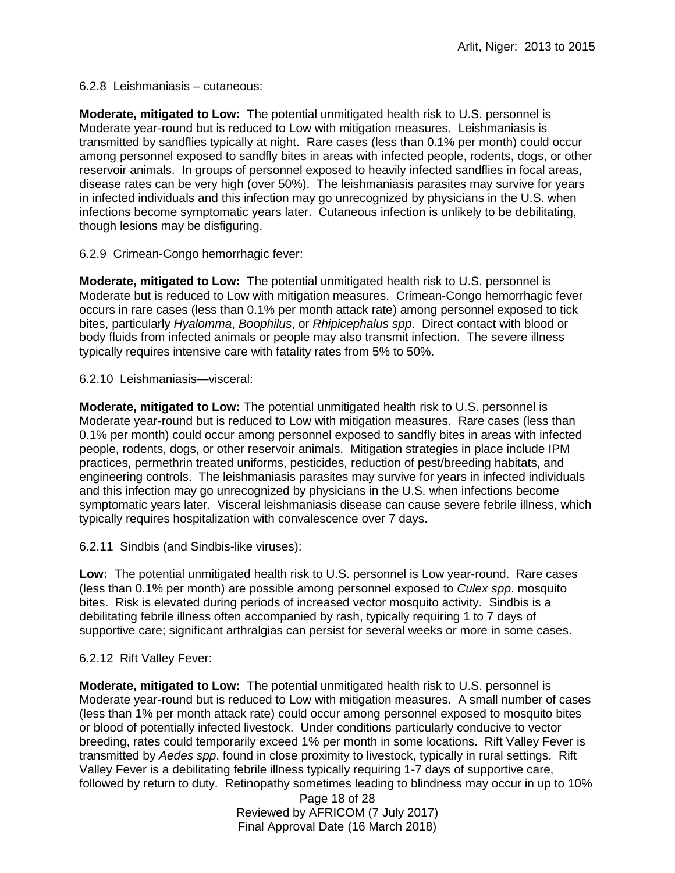6.2.8 Leishmaniasis – cutaneous:

**Moderate, mitigated to Low:** The potential unmitigated health risk to U.S. personnel is Moderate year-round but is reduced to Low with mitigation measures. Leishmaniasis is transmitted by sandflies typically at night. Rare cases (less than 0.1% per month) could occur among personnel exposed to sandfly bites in areas with infected people, rodents, dogs, or other reservoir animals. In groups of personnel exposed to heavily infected sandflies in focal areas, disease rates can be very high (over 50%). The leishmaniasis parasites may survive for years in infected individuals and this infection may go unrecognized by physicians in the U.S. when infections become symptomatic years later. Cutaneous infection is unlikely to be debilitating, though lesions may be disfiguring.

6.2.9 Crimean-Congo hemorrhagic fever:

**Moderate, mitigated to Low:** The potential unmitigated health risk to U.S. personnel is Moderate but is reduced to Low with mitigation measures. Crimean-Congo hemorrhagic fever occurs in rare cases (less than 0.1% per month attack rate) among personnel exposed to tick bites, particularly *Hyalomma*, *Boophilus*, or *Rhipicephalus spp*. Direct contact with blood or body fluids from infected animals or people may also transmit infection. The severe illness typically requires intensive care with fatality rates from 5% to 50%.

6.2.10 Leishmaniasis—visceral:

**Moderate, mitigated to Low:** The potential unmitigated health risk to U.S. personnel is Moderate year-round but is reduced to Low with mitigation measures. Rare cases (less than 0.1% per month) could occur among personnel exposed to sandfly bites in areas with infected people, rodents, dogs, or other reservoir animals. Mitigation strategies in place include IPM practices, permethrin treated uniforms, pesticides, reduction of pest/breeding habitats, and engineering controls. The leishmaniasis parasites may survive for years in infected individuals and this infection may go unrecognized by physicians in the U.S. when infections become symptomatic years later. Visceral leishmaniasis disease can cause severe febrile illness, which typically requires hospitalization with convalescence over 7 days.

6.2.11 Sindbis (and Sindbis-like viruses):

**Low:** The potential unmitigated health risk to U.S. personnel is Low year-round. Rare cases (less than 0.1% per month) are possible among personnel exposed to *Culex spp*. mosquito bites. Risk is elevated during periods of increased vector mosquito activity. Sindbis is a debilitating febrile illness often accompanied by rash, typically requiring 1 to 7 days of supportive care; significant arthralgias can persist for several weeks or more in some cases.

# 6.2.12 Rift Valley Fever:

**Moderate, mitigated to Low:** The potential unmitigated health risk to U.S. personnel is Moderate year-round but is reduced to Low with mitigation measures. A small number of cases (less than 1% per month attack rate) could occur among personnel exposed to mosquito bites or blood of potentially infected livestock. Under conditions particularly conducive to vector breeding, rates could temporarily exceed 1% per month in some locations. Rift Valley Fever is transmitted by *Aedes spp*. found in close proximity to livestock, typically in rural settings. Rift Valley Fever is a debilitating febrile illness typically requiring 1-7 days of supportive care, followed by return to duty. Retinopathy sometimes leading to blindness may occur in up to 10%

> Page 18 of 28 Reviewed by AFRICOM (7 July 2017) Final Approval Date (16 March 2018)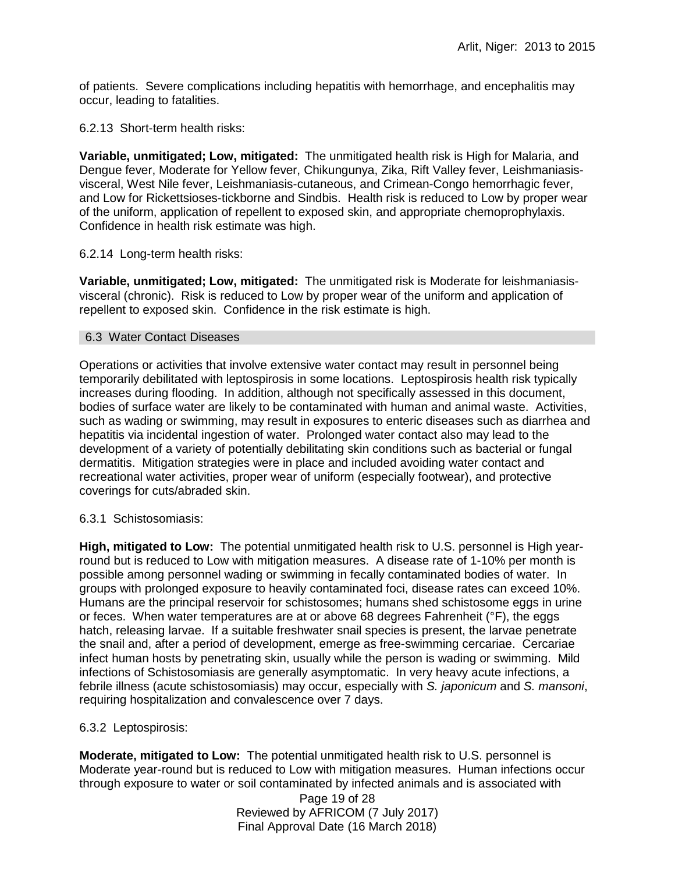of patients. Severe complications including hepatitis with hemorrhage, and encephalitis may occur, leading to fatalities.

6.2.13 Short-term health risks:

**Variable, unmitigated; Low, mitigated:** The unmitigated health risk is High for Malaria, and Dengue fever, Moderate for Yellow fever, Chikungunya, Zika, Rift Valley fever, Leishmaniasisvisceral, West Nile fever, Leishmaniasis-cutaneous, and Crimean-Congo hemorrhagic fever, and Low for Rickettsioses-tickborne and Sindbis. Health risk is reduced to Low by proper wear of the uniform, application of repellent to exposed skin, and appropriate chemoprophylaxis. Confidence in health risk estimate was high.

### 6.2.14 Long-term health risks:

**Variable, unmitigated; Low, mitigated:** The unmitigated risk is Moderate for leishmaniasisvisceral (chronic). Risk is reduced to Low by proper wear of the uniform and application of repellent to exposed skin. Confidence in the risk estimate is high.

#### 6.3 Water Contact Diseases

Operations or activities that involve extensive water contact may result in personnel being temporarily debilitated with leptospirosis in some locations. Leptospirosis health risk typically increases during flooding. In addition, although not specifically assessed in this document, bodies of surface water are likely to be contaminated with human and animal waste. Activities, such as wading or swimming, may result in exposures to enteric diseases such as diarrhea and hepatitis via incidental ingestion of water. Prolonged water contact also may lead to the development of a variety of potentially debilitating skin conditions such as bacterial or fungal dermatitis. Mitigation strategies were in place and included avoiding water contact and recreational water activities, proper wear of uniform (especially footwear), and protective coverings for cuts/abraded skin.

### 6.3.1 Schistosomiasis:

**High, mitigated to Low:** The potential unmitigated health risk to U.S. personnel is High yearround but is reduced to Low with mitigation measures. A disease rate of 1-10% per month is possible among personnel wading or swimming in fecally contaminated bodies of water. In groups with prolonged exposure to heavily contaminated foci, disease rates can exceed 10%. Humans are the principal reservoir for schistosomes; humans shed schistosome eggs in urine or feces. When water temperatures are at or above 68 degrees Fahrenheit (°F), the eggs hatch, releasing larvae. If a suitable freshwater snail species is present, the larvae penetrate the snail and, after a period of development, emerge as free-swimming cercariae. Cercariae infect human hosts by penetrating skin, usually while the person is wading or swimming. Mild infections of Schistosomiasis are generally asymptomatic. In very heavy acute infections, a febrile illness (acute schistosomiasis) may occur, especially with *S. japonicum* and *S. mansoni*, requiring hospitalization and convalescence over 7 days.

### 6.3.2 Leptospirosis:

**Moderate, mitigated to Low:** The potential unmitigated health risk to U.S. personnel is Moderate year-round but is reduced to Low with mitigation measures. Human infections occur through exposure to water or soil contaminated by infected animals and is associated with

> Page 19 of 28 Reviewed by AFRICOM (7 July 2017) Final Approval Date (16 March 2018)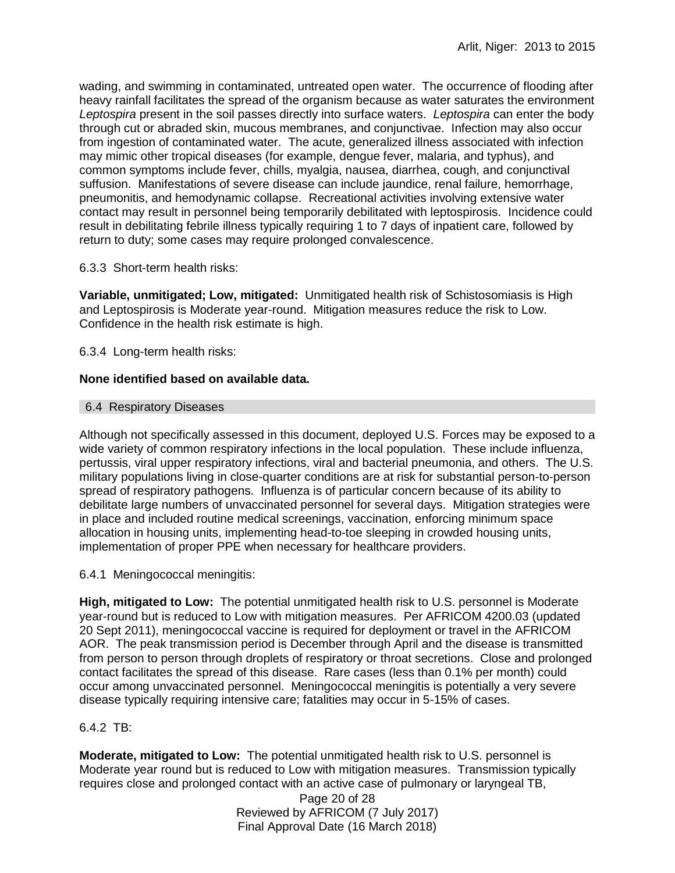wading, and swimming in contaminated, untreated open water. The occurrence of flooding after heavy rainfall facilitates the spread of the organism because as water saturates the environment *Leptospira* present in the soil passes directly into surface waters. *Leptospira* can enter the body through cut or abraded skin, mucous membranes, and conjunctivae. Infection may also occur from ingestion of contaminated water. The acute, generalized illness associated with infection may mimic other tropical diseases (for example, dengue fever, malaria, and typhus), and common symptoms include fever, chills, myalgia, nausea, diarrhea, cough, and conjunctival suffusion. Manifestations of severe disease can include jaundice, renal failure, hemorrhage, pneumonitis, and hemodynamic collapse. Recreational activities involving extensive water contact may result in personnel being temporarily debilitated with leptospirosis. Incidence could result in debilitating febrile illness typically requiring 1 to 7 days of inpatient care, followed by return to duty; some cases may require prolonged convalescence.

# 6.3.3 Short-term health risks:

**Variable, unmitigated; Low, mitigated:** Unmitigated health risk of Schistosomiasis is High and Leptospirosis is Moderate year-round. Mitigation measures reduce the risk to Low. Confidence in the health risk estimate is high.

6.3.4 Long-term health risks:

# **None identified based on available data.**

# 6.4 Respiratory Diseases

Although not specifically assessed in this document, deployed U.S. Forces may be exposed to a wide variety of common respiratory infections in the local population. These include influenza, pertussis, viral upper respiratory infections, viral and bacterial pneumonia, and others. The U.S. military populations living in close-quarter conditions are at risk for substantial person-to-person spread of respiratory pathogens. Influenza is of particular concern because of its ability to debilitate large numbers of unvaccinated personnel for several days. Mitigation strategies were in place and included routine medical screenings, vaccination, enforcing minimum space allocation in housing units, implementing head-to-toe sleeping in crowded housing units, implementation of proper PPE when necessary for healthcare providers.

6.4.1 Meningococcal meningitis:

**High, mitigated to Low:** The potential unmitigated health risk to U.S. personnel is Moderate year-round but is reduced to Low with mitigation measures. Per AFRICOM 4200.03 (updated 20 Sept 2011), meningococcal vaccine is required for deployment or travel in the AFRICOM AOR. The peak transmission period is December through April and the disease is transmitted from person to person through droplets of respiratory or throat secretions. Close and prolonged contact facilitates the spread of this disease. Rare cases (less than 0.1% per month) could occur among unvaccinated personnel. Meningococcal meningitis is potentially a very severe disease typically requiring intensive care; fatalities may occur in 5-15% of cases.

# 6.4.2 TB:

**Moderate, mitigated to Low:** The potential unmitigated health risk to U.S. personnel is Moderate year round but is reduced to Low with mitigation measures. Transmission typically requires close and prolonged contact with an active case of pulmonary or laryngeal TB,

> Page 20 of 28 Reviewed by AFRICOM (7 July 2017) Final Approval Date (16 March 2018)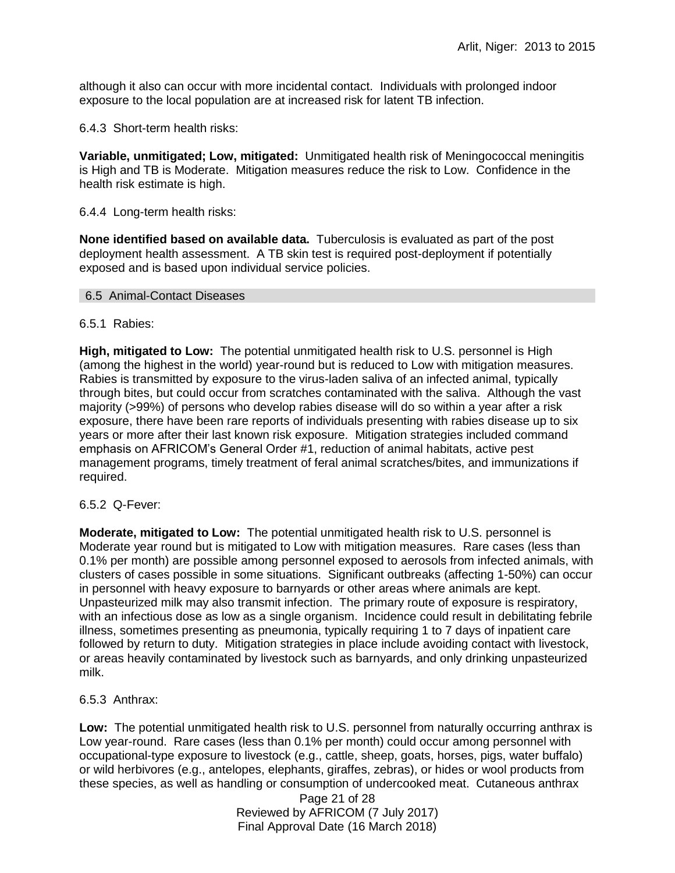although it also can occur with more incidental contact. Individuals with prolonged indoor exposure to the local population are at increased risk for latent TB infection.

6.4.3 Short-term health risks:

**Variable, unmitigated; Low, mitigated:** Unmitigated health risk of Meningococcal meningitis is High and TB is Moderate. Mitigation measures reduce the risk to Low. Confidence in the health risk estimate is high.

6.4.4 Long-term health risks:

**None identified based on available data.** Tuberculosis is evaluated as part of the post deployment health assessment. A TB skin test is required post-deployment if potentially exposed and is based upon individual service policies.

#### 6.5 Animal-Contact Diseases

### 6.5.1 Rabies:

**High, mitigated to Low:** The potential unmitigated health risk to U.S. personnel is High (among the highest in the world) year-round but is reduced to Low with mitigation measures. Rabies is transmitted by exposure to the virus-laden saliva of an infected animal, typically through bites, but could occur from scratches contaminated with the saliva. Although the vast majority (>99%) of persons who develop rabies disease will do so within a year after a risk exposure, there have been rare reports of individuals presenting with rabies disease up to six years or more after their last known risk exposure. Mitigation strategies included command emphasis on AFRICOM's General Order #1, reduction of animal habitats, active pest management programs, timely treatment of feral animal scratches/bites, and immunizations if required.

### 6.5.2 Q-Fever:

**Moderate, mitigated to Low:** The potential unmitigated health risk to U.S. personnel is Moderate year round but is mitigated to Low with mitigation measures. Rare cases (less than 0.1% per month) are possible among personnel exposed to aerosols from infected animals, with clusters of cases possible in some situations. Significant outbreaks (affecting 1-50%) can occur in personnel with heavy exposure to barnyards or other areas where animals are kept. Unpasteurized milk may also transmit infection. The primary route of exposure is respiratory, with an infectious dose as low as a single organism. Incidence could result in debilitating febrile illness, sometimes presenting as pneumonia, typically requiring 1 to 7 days of inpatient care followed by return to duty. Mitigation strategies in place include avoiding contact with livestock, or areas heavily contaminated by livestock such as barnyards, and only drinking unpasteurized milk.

6.5.3 Anthrax:

**Low:** The potential unmitigated health risk to U.S. personnel from naturally occurring anthrax is Low year-round. Rare cases (less than 0.1% per month) could occur among personnel with occupational-type exposure to livestock (e.g., cattle, sheep, goats, horses, pigs, water buffalo) or wild herbivores (e.g., antelopes, elephants, giraffes, zebras), or hides or wool products from these species, as well as handling or consumption of undercooked meat. Cutaneous anthrax

> Page 21 of 28 Reviewed by AFRICOM (7 July 2017) Final Approval Date (16 March 2018)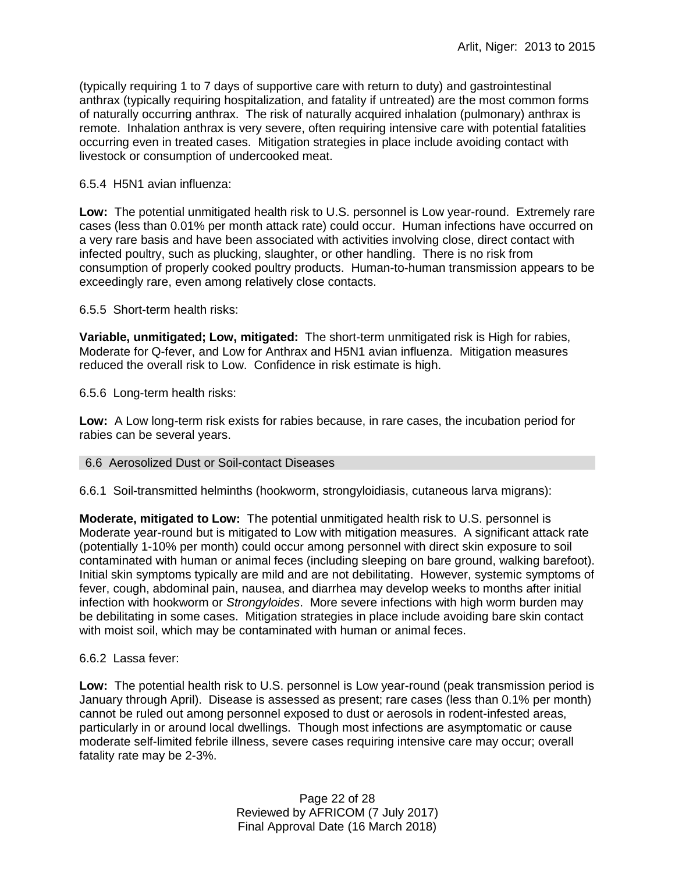(typically requiring 1 to 7 days of supportive care with return to duty) and gastrointestinal anthrax (typically requiring hospitalization, and fatality if untreated) are the most common forms of naturally occurring anthrax. The risk of naturally acquired inhalation (pulmonary) anthrax is remote. Inhalation anthrax is very severe, often requiring intensive care with potential fatalities occurring even in treated cases. Mitigation strategies in place include avoiding contact with livestock or consumption of undercooked meat.

### 6.5.4 H5N1 avian influenza:

**Low:** The potential unmitigated health risk to U.S. personnel is Low year-round. Extremely rare cases (less than 0.01% per month attack rate) could occur. Human infections have occurred on a very rare basis and have been associated with activities involving close, direct contact with infected poultry, such as plucking, slaughter, or other handling. There is no risk from consumption of properly cooked poultry products. Human-to-human transmission appears to be exceedingly rare, even among relatively close contacts.

6.5.5 Short-term health risks:

**Variable, unmitigated; Low, mitigated:** The short-term unmitigated risk is High for rabies, Moderate for Q-fever, and Low for Anthrax and H5N1 avian influenza. Mitigation measures reduced the overall risk to Low.Confidence in risk estimate is high.

6.5.6 Long-term health risks:

**Low:** A Low long-term risk exists for rabies because, in rare cases, the incubation period for rabies can be several years.

### 6.6 Aerosolized Dust or Soil-contact Diseases

6.6.1 Soil-transmitted helminths (hookworm, strongyloidiasis, cutaneous larva migrans):

**Moderate, mitigated to Low:** The potential unmitigated health risk to U.S. personnel is Moderate year-round but is mitigated to Low with mitigation measures. A significant attack rate (potentially 1-10% per month) could occur among personnel with direct skin exposure to soil contaminated with human or animal feces (including sleeping on bare ground, walking barefoot). Initial skin symptoms typically are mild and are not debilitating. However, systemic symptoms of fever, cough, abdominal pain, nausea, and diarrhea may develop weeks to months after initial infection with hookworm or *Strongyloides*. More severe infections with high worm burden may be debilitating in some cases. Mitigation strategies in place include avoiding bare skin contact with moist soil, which may be contaminated with human or animal feces.

### 6.6.2 Lassa fever:

**Low:** The potential health risk to U.S. personnel is Low year-round (peak transmission period is January through April). Disease is assessed as present; rare cases (less than 0.1% per month) cannot be ruled out among personnel exposed to dust or aerosols in rodent-infested areas, particularly in or around local dwellings. Though most infections are asymptomatic or cause moderate self-limited febrile illness, severe cases requiring intensive care may occur; overall fatality rate may be 2-3%.

> Page 22 of 28 Reviewed by AFRICOM (7 July 2017) Final Approval Date (16 March 2018)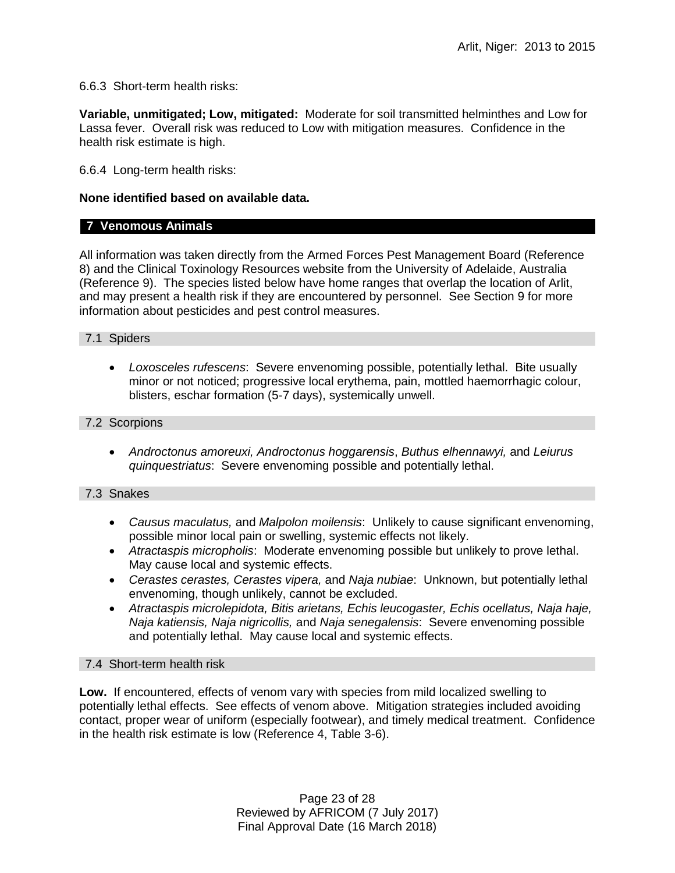6.6.3 Short-term health risks:

**Variable, unmitigated; Low, mitigated:** Moderate for soil transmitted helminthes and Low for Lassa fever. Overall risk was reduced to Low with mitigation measures. Confidence in the health risk estimate is high.

6.6.4 Long-term health risks:

### **None identified based on available data.**

# **7 Venomous Animals**

All information was taken directly from the Armed Forces Pest Management Board (Reference 8) and the Clinical Toxinology Resources website from the University of Adelaide, Australia (Reference 9). The species listed below have home ranges that overlap the location of Arlit, and may present a health risk if they are encountered by personnel. See Section 9 for more information about pesticides and pest control measures.

# 7.1 Spiders

 *Loxosceles rufescens*: Severe envenoming possible, potentially lethal. Bite usually minor or not noticed; progressive local erythema, pain, mottled haemorrhagic colour, blisters, eschar formation (5-7 days), systemically unwell.

### 7.2 Scorpions

 *Androctonus amoreuxi, Androctonus hoggarensis*, *Buthus elhennawyi,* and *Leiurus quinquestriatus*: Severe envenoming possible and potentially lethal.

# 7.3 Snakes

- *Causus maculatus,* and *Malpolon moilensis*: Unlikely to cause significant envenoming, possible minor local pain or swelling, systemic effects not likely.
- *Atractaspis micropholis*: Moderate envenoming possible but unlikely to prove lethal. May cause local and systemic effects.
- *Cerastes cerastes, Cerastes vipera,* and *Naja nubiae*: Unknown, but potentially lethal envenoming, though unlikely, cannot be excluded.
- *Atractaspis microlepidota, Bitis arietans, Echis leucogaster, Echis ocellatus, Naja haje, Naja katiensis, Naja nigricollis,* and *Naja senegalensis*: Severe envenoming possible and potentially lethal. May cause local and systemic effects.

### 7.4 Short-term health risk

**Low.** If encountered, effects of venom vary with species from mild localized swelling to potentially lethal effects. See effects of venom above. Mitigation strategies included avoiding contact, proper wear of uniform (especially footwear), and timely medical treatment. Confidence in the health risk estimate is low (Reference 4, Table 3-6).

> Page 23 of 28 Reviewed by AFRICOM (7 July 2017) Final Approval Date (16 March 2018)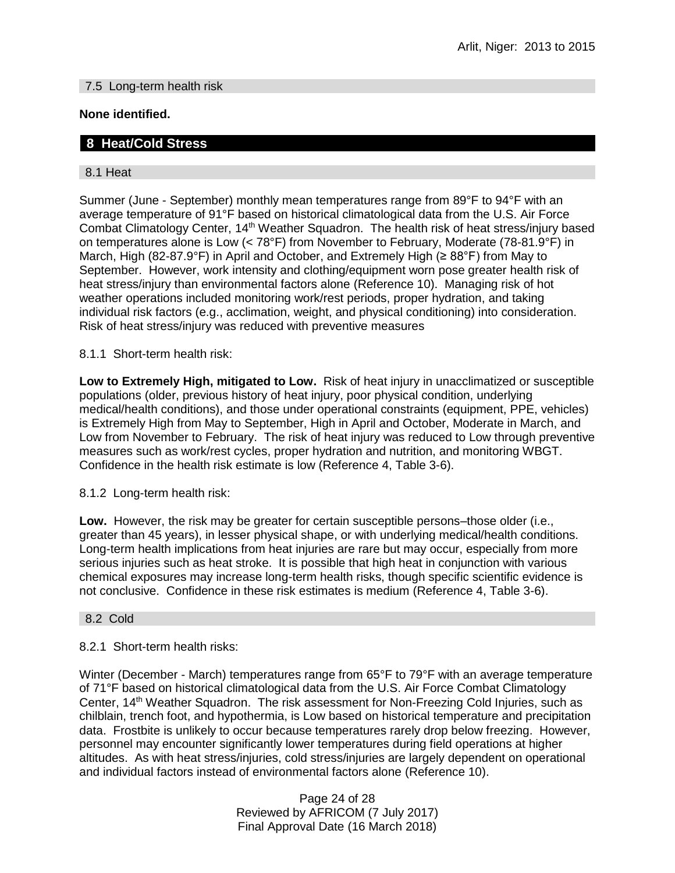### 7.5 Long-term health risk

# **None identified.**

# **8 Heat/Cold Stress**

### 8.1 Heat

Summer (June - September) monthly mean temperatures range from 89°F to 94°F with an average temperature of 91°F based on historical climatological data from the U.S. Air Force Combat Climatology Center, 14<sup>th</sup> Weather Squadron. The health risk of heat stress/injury based on temperatures alone is Low (< 78°F) from November to February, Moderate (78-81.9°F) in March, High (82-87.9°F) in April and October, and Extremely High (≥ 88°F) from May to September. However, work intensity and clothing/equipment worn pose greater health risk of heat stress/injury than environmental factors alone (Reference 10). Managing risk of hot weather operations included monitoring work/rest periods, proper hydration, and taking individual risk factors (e.g., acclimation, weight, and physical conditioning) into consideration. Risk of heat stress/injury was reduced with preventive measures

8.1.1 Short-term health risk:

**Low to Extremely High, mitigated to Low.** Risk of heat injury in unacclimatized or susceptible populations (older, previous history of heat injury, poor physical condition, underlying medical/health conditions), and those under operational constraints (equipment, PPE, vehicles) is Extremely High from May to September, High in April and October, Moderate in March, and Low from November to February. The risk of heat injury was reduced to Low through preventive measures such as work/rest cycles, proper hydration and nutrition, and monitoring WBGT. Confidence in the health risk estimate is low (Reference 4, Table 3-6).

8.1.2 Long-term health risk:

**Low.** However, the risk may be greater for certain susceptible persons–those older (i.e., greater than 45 years), in lesser physical shape, or with underlying medical/health conditions. Long-term health implications from heat injuries are rare but may occur, especially from more serious injuries such as heat stroke. It is possible that high heat in conjunction with various chemical exposures may increase long-term health risks, though specific scientific evidence is not conclusive. Confidence in these risk estimates is medium (Reference 4, Table 3-6).

### 8.2 Cold

### 8.2.1 Short-term health risks:

Winter (December - March) temperatures range from 65°F to 79°F with an average temperature of 71°F based on historical climatological data from the U.S. Air Force Combat Climatology Center, 14th Weather Squadron. The risk assessment for Non-Freezing Cold Injuries, such as chilblain, trench foot, and hypothermia, is Low based on historical temperature and precipitation data. Frostbite is unlikely to occur because temperatures rarely drop below freezing. However, personnel may encounter significantly lower temperatures during field operations at higher altitudes. As with heat stress/injuries, cold stress/injuries are largely dependent on operational and individual factors instead of environmental factors alone (Reference 10).

> Page 24 of 28 Reviewed by AFRICOM (7 July 2017) Final Approval Date (16 March 2018)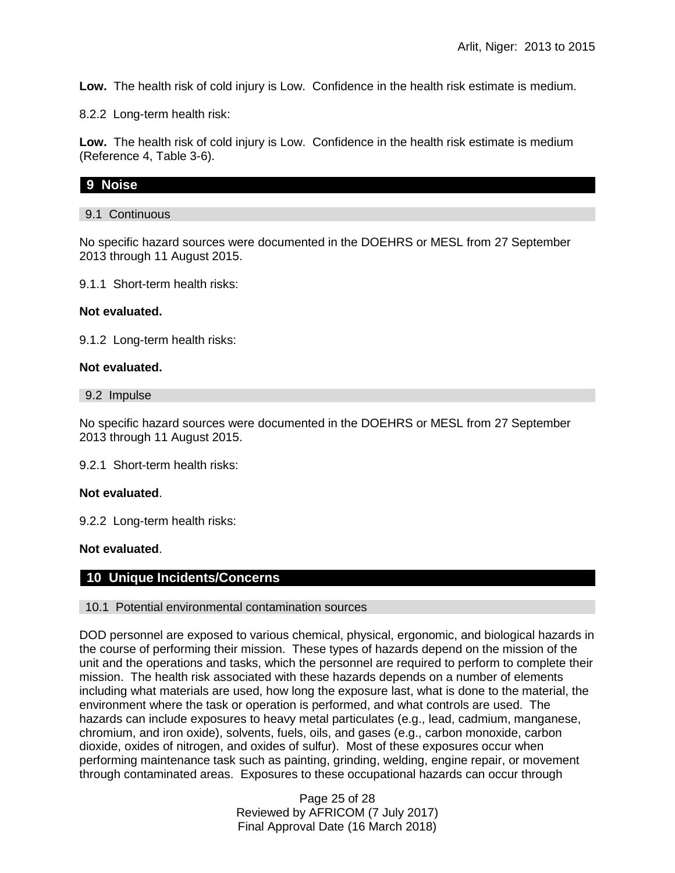**Low.** The health risk of cold injury is Low. Confidence in the health risk estimate is medium.

8.2.2 Long-term health risk:

**Low.** The health risk of cold injury is Low. Confidence in the health risk estimate is medium (Reference 4, Table 3-6).

### **9 Noise**

### 9.1 Continuous

No specific hazard sources were documented in the DOEHRS or MESL from 27 September 2013 through 11 August 2015.

9.1.1 Short-term health risks:

#### **Not evaluated.**

9.1.2 Long-term health risks:

#### **Not evaluated.**

9.2 Impulse

No specific hazard sources were documented in the DOEHRS or MESL from 27 September 2013 through 11 August 2015.

9.2.1 Short-term health risks:

#### **Not evaluated**.

9.2.2 Long-term health risks:

**Not evaluated**.

### **10 Unique Incidents/Concerns**

### 10.1 Potential environmental contamination sources

DOD personnel are exposed to various chemical, physical, ergonomic, and biological hazards in the course of performing their mission. These types of hazards depend on the mission of the unit and the operations and tasks, which the personnel are required to perform to complete their mission. The health risk associated with these hazards depends on a number of elements including what materials are used, how long the exposure last, what is done to the material, the environment where the task or operation is performed, and what controls are used. The hazards can include exposures to heavy metal particulates (e.g., lead, cadmium, manganese, chromium, and iron oxide), solvents, fuels, oils, and gases (e.g., carbon monoxide, carbon dioxide, oxides of nitrogen, and oxides of sulfur). Most of these exposures occur when performing maintenance task such as painting, grinding, welding, engine repair, or movement through contaminated areas. Exposures to these occupational hazards can occur through

> Page 25 of 28 Reviewed by AFRICOM (7 July 2017) Final Approval Date (16 March 2018)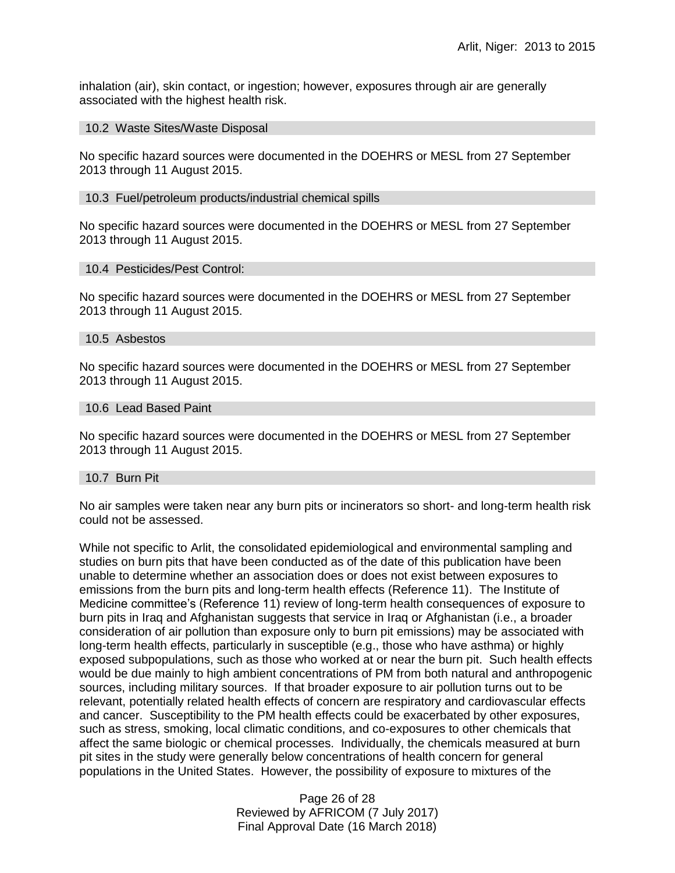inhalation (air), skin contact, or ingestion; however, exposures through air are generally associated with the highest health risk.

#### 10.2 Waste Sites/Waste Disposal

No specific hazard sources were documented in the DOEHRS or MESL from 27 September 2013 through 11 August 2015.

#### 10.3 Fuel/petroleum products/industrial chemical spills

No specific hazard sources were documented in the DOEHRS or MESL from 27 September 2013 through 11 August 2015.

#### 10.4 Pesticides/Pest Control:

No specific hazard sources were documented in the DOEHRS or MESL from 27 September 2013 through 11 August 2015.

#### 10.5 Asbestos

No specific hazard sources were documented in the DOEHRS or MESL from 27 September 2013 through 11 August 2015.

#### 10.6 Lead Based Paint

No specific hazard sources were documented in the DOEHRS or MESL from 27 September 2013 through 11 August 2015.

#### 10.7 Burn Pit

No air samples were taken near any burn pits or incinerators so short- and long-term health risk could not be assessed.

While not specific to Arlit, the consolidated epidemiological and environmental sampling and studies on burn pits that have been conducted as of the date of this publication have been unable to determine whether an association does or does not exist between exposures to emissions from the burn pits and long-term health effects (Reference 11). The Institute of Medicine committee's (Reference 11) review of long-term health consequences of exposure to burn pits in Iraq and Afghanistan suggests that service in Iraq or Afghanistan (i.e., a broader consideration of air pollution than exposure only to burn pit emissions) may be associated with long-term health effects, particularly in susceptible (e.g., those who have asthma) or highly exposed subpopulations, such as those who worked at or near the burn pit. Such health effects would be due mainly to high ambient concentrations of PM from both natural and anthropogenic sources, including military sources. If that broader exposure to air pollution turns out to be relevant, potentially related health effects of concern are respiratory and cardiovascular effects and cancer. Susceptibility to the PM health effects could be exacerbated by other exposures, such as stress, smoking, local climatic conditions, and co-exposures to other chemicals that affect the same biologic or chemical processes. Individually, the chemicals measured at burn pit sites in the study were generally below concentrations of health concern for general populations in the United States. However, the possibility of exposure to mixtures of the

> Page 26 of 28 Reviewed by AFRICOM (7 July 2017) Final Approval Date (16 March 2018)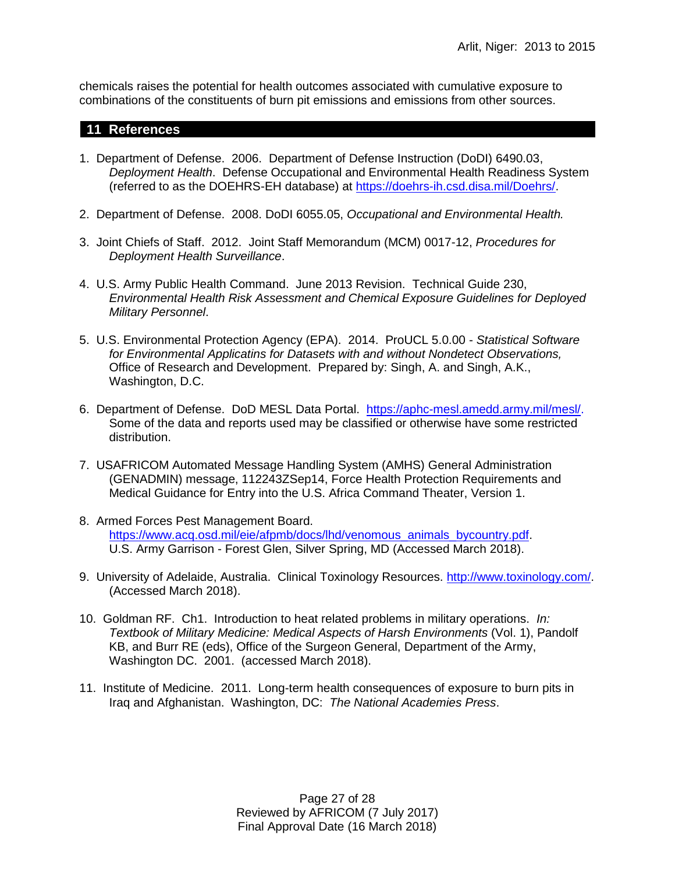chemicals raises the potential for health outcomes associated with cumulative exposure to combinations of the constituents of burn pit emissions and emissions from other sources.

# **11 References**

- 1. Department of Defense. 2006. Department of Defense Instruction (DoDI) 6490.03, *Deployment Health*. Defense Occupational and Environmental Health Readiness System (referred to as the DOEHRS-EH database) at [https://doehrs-ih.csd.disa.mil/Doehrs/.](https://doehrs-ih.csd.disa.mil/Doehrs/)
- 2. Department of Defense. 2008. DoDI 6055.05, *Occupational and Environmental Health.*
- 3. Joint Chiefs of Staff. 2012. Joint Staff Memorandum (MCM) 0017-12, *Procedures for Deployment Health Surveillance*.
- 4. U.S. Army Public Health Command. June 2013 Revision. Technical Guide 230, *Environmental Health Risk Assessment and Chemical Exposure Guidelines for Deployed Military Personnel*.
- 5. U.S. Environmental Protection Agency (EPA). 2014. ProUCL 5.0.00 *Statistical Software for Environmental Applicatins for Datasets with and without Nondetect Observations,* Office of Research and Development. Prepared by: Singh, A. and Singh, A.K., Washington, D.C.
- 6. Department of Defense. DoD MESL Data Portal. [https://aphc-mesl.amedd.army.mil/mesl/.](https://aphc-mesl.amedd.army.mil/mesl/) Some of the data and reports used may be classified or otherwise have some restricted distribution.
- 7. USAFRICOM Automated Message Handling System (AMHS) General Administration (GENADMIN) message, 112243ZSep14, Force Health Protection Requirements and Medical Guidance for Entry into the U.S. Africa Command Theater, Version 1.
- 8. Armed Forces Pest Management Board. [https://www.acq.osd.mil/eie/afpmb/docs/lhd/venomous\\_animals\\_bycountry.pdf.](https://www.acq.osd.mil/eie/afpmb/docs/lhd/venomous_animals_bycountry.pdf) U.S. Army Garrison - Forest Glen, Silver Spring, MD (Accessed March 2018).
- 9. University of Adelaide, Australia. Clinical Toxinology Resources. [http://www.toxinology.com/.](http://www.toxinology.com/) (Accessed March 2018).
- 10. Goldman RF. Ch1. Introduction to heat related problems in military operations. *In: Textbook of Military Medicine: Medical Aspects of Harsh Environments* (Vol. 1), Pandolf KB, and Burr RE (eds), Office of the Surgeon General, Department of the Army, Washington DC. 2001. (accessed March 2018).
- 11. Institute of Medicine. 2011. Long-term health consequences of exposure to burn pits in Iraq and Afghanistan. Washington, DC: *The National Academies Press*.